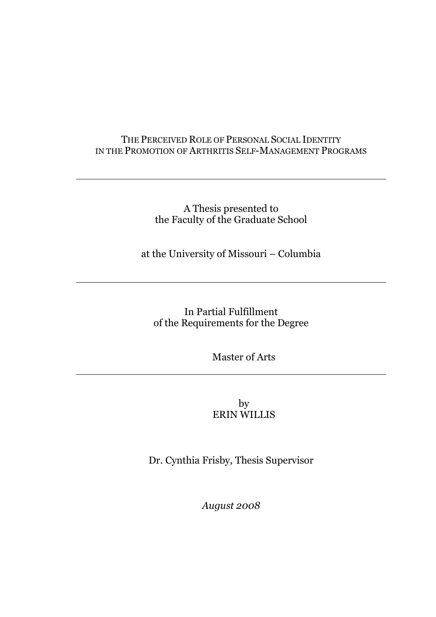# THE PERCEIVED ROLE OF PERSONAL SOCIAL IDENTITY IN THE PROMOTION OF ARTHRITIS SELF-MANAGEMENT PROGRAMS

# A Thesis presented to the Faculty of the Graduate School

at the University of Missouri – Columbia

In Partial Fulfillment of the Requirements for the Degree

Master of Arts

by ERIN WILLIS

Dr. Cynthia Frisby, Thesis Supervisor

*August 2008*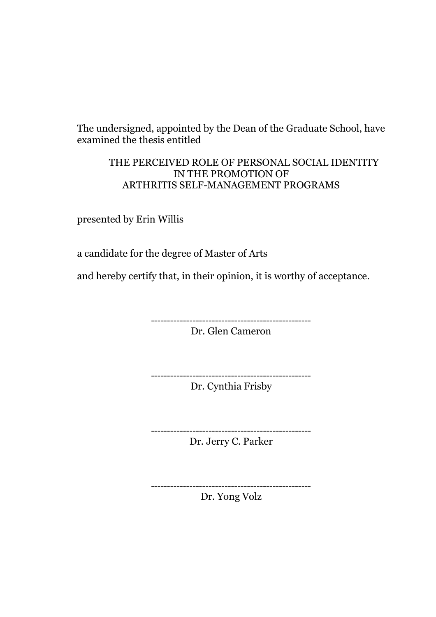The undersigned, appointed by the Dean of the Graduate School, have examined the thesis entitled

# THE PERCEIVED ROLE OF PERSONAL SOCIAL IDENTITY IN THE PROMOTION OF ARTHRITIS SELF-MANAGEMENT PROGRAMS

presented by Erin Willis

a candidate for the degree of Master of Arts

and hereby certify that, in their opinion, it is worthy of acceptance.

-------------------------------------------------- Dr. Glen Cameron

-------------------------------------------------- Dr. Cynthia Frisby

> -------------------------------------------------- Dr. Jerry C. Parker

--------------------------------------------------

Dr. Yong Volz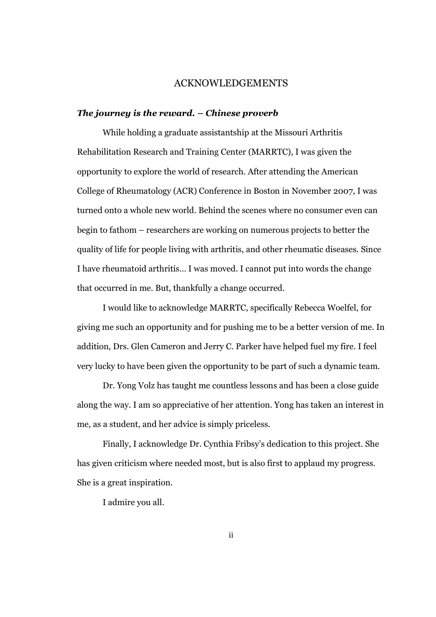### ACKNOWLEDGEMENTS

#### *The journey is the reward. – Chinese proverb*

While holding a graduate assistantship at the Missouri Arthritis Rehabilitation Research and Training Center (MARRTC), I was given the opportunity to explore the world of research. After attending the American College of Rheumatology (ACR) Conference in Boston in November 2007, I was turned onto a whole new world. Behind the scenes where no consumer even can begin to fathom – researchers are working on numerous projects to better the quality of life for people living with arthritis, and other rheumatic diseases. Since I have rheumatoid arthritis… I was moved. I cannot put into words the change that occurred in me. But, thankfully a change occurred.

I would like to acknowledge MARRTC, specifically Rebecca Woelfel, for giving me such an opportunity and for pushing me to be a better version of me. In addition, Drs. Glen Cameron and Jerry C. Parker have helped fuel my fire. I feel very lucky to have been given the opportunity to be part of such a dynamic team.

Dr. Yong Volz has taught me countless lessons and has been a close guide along the way. I am so appreciative of her attention. Yong has taken an interest in me, as a student, and her advice is simply priceless.

Finally, I acknowledge Dr. Cynthia Fribsy's dedication to this project. She has given criticism where needed most, but is also first to applaud my progress. She is a great inspiration.

I admire you all.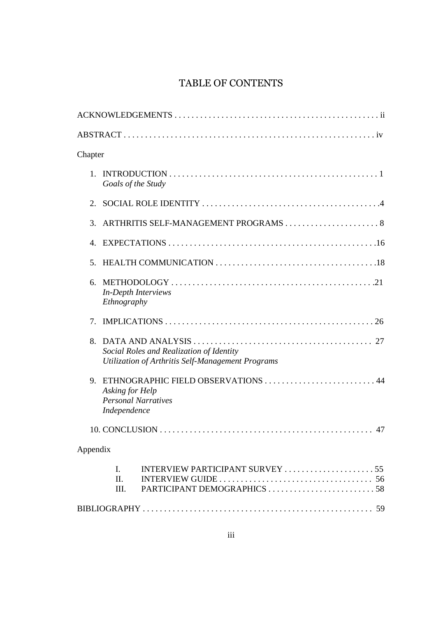# TABLE OF CONTENTS

| Chapter     |                                                                                                      |                                                                                                                       |  |  |  |  |
|-------------|------------------------------------------------------------------------------------------------------|-----------------------------------------------------------------------------------------------------------------------|--|--|--|--|
| $1_{-}$     |                                                                                                      | Goals of the Study                                                                                                    |  |  |  |  |
| 2.          |                                                                                                      |                                                                                                                       |  |  |  |  |
| 3.          |                                                                                                      |                                                                                                                       |  |  |  |  |
| 4.          |                                                                                                      |                                                                                                                       |  |  |  |  |
| 5.          |                                                                                                      |                                                                                                                       |  |  |  |  |
| 6.          | <b>In-Depth Interviews</b><br>Ethnography                                                            |                                                                                                                       |  |  |  |  |
| $7_{\cdot}$ |                                                                                                      |                                                                                                                       |  |  |  |  |
| 8.          | Social Roles and Realization of Identity<br>Utilization of Arthritis Self-Management Programs        |                                                                                                                       |  |  |  |  |
| 9.          | ETHNOGRAPHIC FIELD OBSERVATIONS  44<br>Asking for Help<br><b>Personal Narratives</b><br>Independence |                                                                                                                       |  |  |  |  |
|             |                                                                                                      |                                                                                                                       |  |  |  |  |
| Appendix    |                                                                                                      |                                                                                                                       |  |  |  |  |
|             | $\mathbf{I}$ .<br>$\Pi$ .<br>Ш.                                                                      | INTERVIEW PARTICIPANT SURVEY 55<br>INTERVIEW GUIDE $\dots\dots\dots\dots\dots\dots\dots\dots\dots\dots\dots \dots$ 56 |  |  |  |  |
|             |                                                                                                      |                                                                                                                       |  |  |  |  |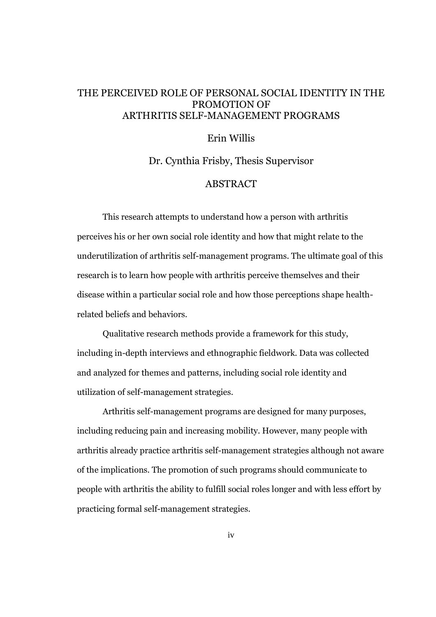# THE PERCEIVED ROLE OF PERSONAL SOCIAL IDENTITY IN THE PROMOTION OF ARTHRITIS SELF-MANAGEMENT PROGRAMS

# Erin Willis

Dr. Cynthia Frisby, Thesis Supervisor

# ABSTRACT

This research attempts to understand how a person with arthritis perceives his or her own social role identity and how that might relate to the underutilization of arthritis self-management programs. The ultimate goal of this research is to learn how people with arthritis perceive themselves and their disease within a particular social role and how those perceptions shape healthrelated beliefs and behaviors.

Qualitative research methods provide a framework for this study, including in-depth interviews and ethnographic fieldwork. Data was collected and analyzed for themes and patterns, including social role identity and utilization of self-management strategies.

Arthritis self-management programs are designed for many purposes, including reducing pain and increasing mobility. However, many people with arthritis already practice arthritis self-management strategies although not aware of the implications. The promotion of such programs should communicate to people with arthritis the ability to fulfill social roles longer and with less effort by practicing formal self-management strategies.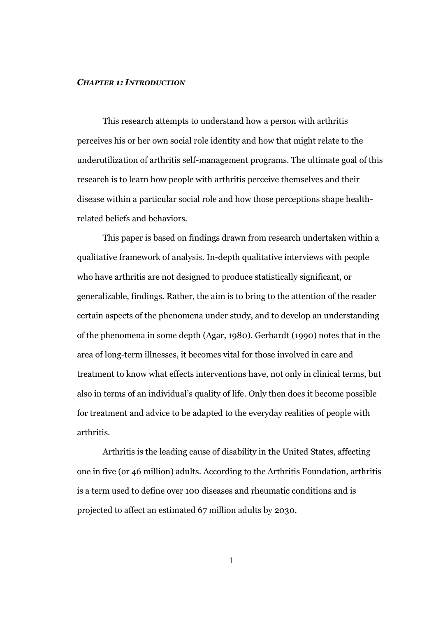#### *CHAPTER 1: INTRODUCTION*

This research attempts to understand how a person with arthritis perceives his or her own social role identity and how that might relate to the underutilization of arthritis self-management programs. The ultimate goal of this research is to learn how people with arthritis perceive themselves and their disease within a particular social role and how those perceptions shape healthrelated beliefs and behaviors.

This paper is based on findings drawn from research undertaken within a qualitative framework of analysis. In-depth qualitative interviews with people who have arthritis are not designed to produce statistically significant, or generalizable, findings. Rather, the aim is to bring to the attention of the reader certain aspects of the phenomena under study, and to develop an understanding of the phenomena in some depth (Agar, 1980). Gerhardt (1990) notes that in the area of long-term illnesses, it becomes vital for those involved in care and treatment to know what effects interventions have, not only in clinical terms, but also in terms of an individual's quality of life. Only then does it become possible for treatment and advice to be adapted to the everyday realities of people with arthritis.

Arthritis is the leading cause of disability in the United States, affecting one in five (or 46 million) adults. According to the Arthritis Foundation, arthritis is a term used to define over 100 diseases and rheumatic conditions and is projected to affect an estimated 67 million adults by 2030.

1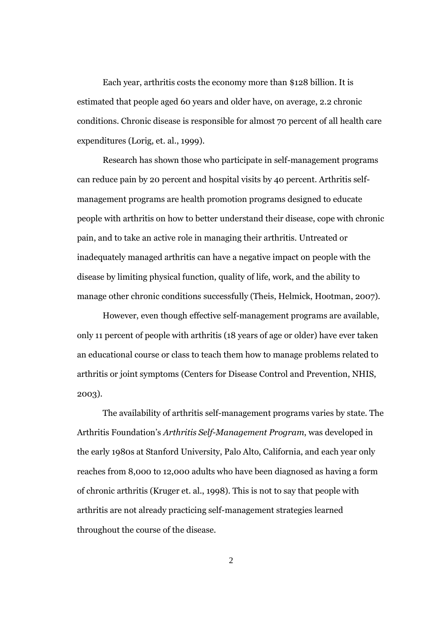Each year, arthritis costs the economy more than \$128 billion. It is estimated that people aged 60 years and older have, on average, 2.2 chronic conditions. Chronic disease is responsible for almost 70 percent of all health care expenditures (Lorig, et. al., 1999).

Research has shown those who participate in self-management programs can reduce pain by 20 percent and hospital visits by 40 percent. Arthritis selfmanagement programs are health promotion programs designed to educate people with arthritis on how to better understand their disease, cope with chronic pain, and to take an active role in managing their arthritis. Untreated or inadequately managed arthritis can have a negative impact on people with the disease by limiting physical function, quality of life, work, and the ability to manage other chronic conditions successfully (Theis, Helmick, Hootman, 2007).

However, even though effective self-management programs are available, only 11 percent of people with arthritis (18 years of age or older) have ever taken an educational course or class to teach them how to manage problems related to arthritis or joint symptoms (Centers for Disease Control and Prevention, NHIS, 2003).

The availability of arthritis self-management programs varies by state. The Arthritis Foundation's *Arthritis Self-Management Program*, was developed in the early 1980s at Stanford University, Palo Alto, California, and each year only reaches from 8,000 to 12,000 adults who have been diagnosed as having a form of chronic arthritis (Kruger et. al., 1998). This is not to say that people with arthritis are not already practicing self-management strategies learned throughout the course of the disease.

2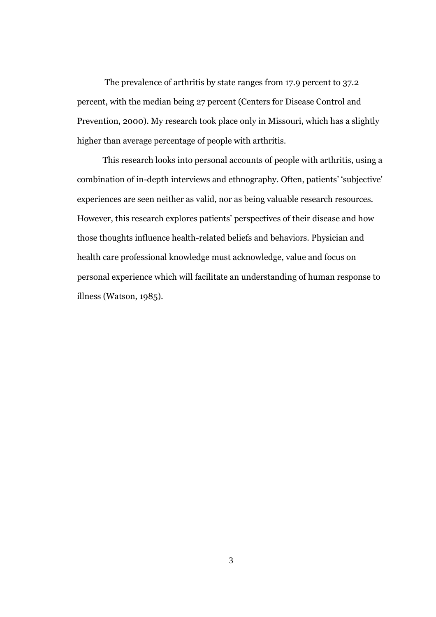The prevalence of arthritis by state ranges from 17.9 percent to 37.2 percent, with the median being 27 percent (Centers for Disease Control and Prevention, 2000). My research took place only in Missouri, which has a slightly higher than average percentage of people with arthritis.

This research looks into personal accounts of people with arthritis, using a combination of in-depth interviews and ethnography. Often, patients' 'subjective' experiences are seen neither as valid, nor as being valuable research resources. However, this research explores patients' perspectives of their disease and how those thoughts influence health-related beliefs and behaviors. Physician and health care professional knowledge must acknowledge, value and focus on personal experience which will facilitate an understanding of human response to illness (Watson, 1985).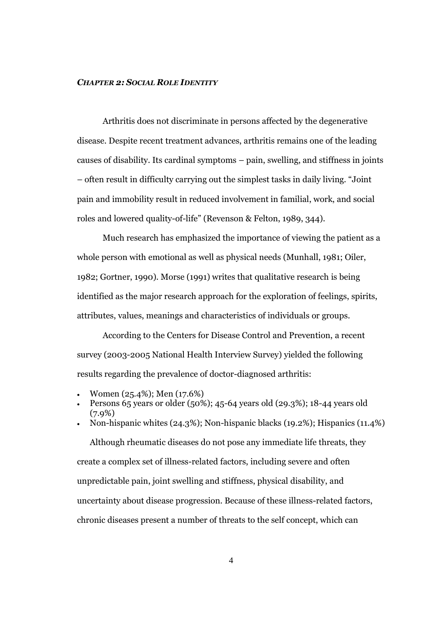#### *CHAPTER 2: SOCIAL ROLE IDENTITY*

Arthritis does not discriminate in persons affected by the degenerative disease. Despite recent treatment advances, arthritis remains one of the leading causes of disability. Its cardinal symptoms – pain, swelling, and stiffness in joints – often result in difficulty carrying out the simplest tasks in daily living. "Joint pain and immobility result in reduced involvement in familial, work, and social roles and lowered quality-of-life" (Revenson & Felton, 1989, 344).

Much research has emphasized the importance of viewing the patient as a whole person with emotional as well as physical needs (Munhall, 1981; Oiler, 1982; Gortner, 1990). Morse (1991) writes that qualitative research is being identified as the major research approach for the exploration of feelings, spirits, attributes, values, meanings and characteristics of individuals or groups.

According to the Centers for Disease Control and Prevention, a recent survey (2003-2005 National Health Interview Survey) yielded the following results regarding the prevalence of doctor-diagnosed arthritis:

- Women (25.4%); Men (17.6%)
- Persons 65 years or older (50%); 45-64 years old (29.3%); 18-44 years old  $(7.9\%)$

 Non-hispanic whites (24.3%); Non-hispanic blacks (19.2%); Hispanics (11.4%) Although rheumatic diseases do not pose any immediate life threats, they create a complex set of illness-related factors, including severe and often unpredictable pain, joint swelling and stiffness, physical disability, and uncertainty about disease progression. Because of these illness-related factors, chronic diseases present a number of threats to the self concept, which can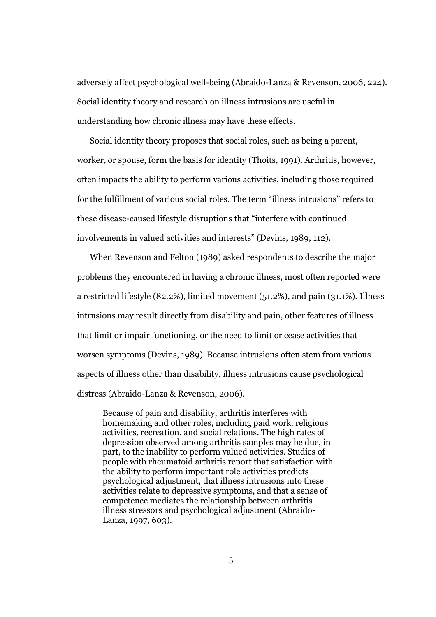adversely affect psychological well-being (Abraido-Lanza & Revenson, 2006, 224). Social identity theory and research on illness intrusions are useful in understanding how chronic illness may have these effects.

Social identity theory proposes that social roles, such as being a parent, worker, or spouse, form the basis for identity (Thoits, 1991). Arthritis, however, often impacts the ability to perform various activities, including those required for the fulfillment of various social roles. The term "illness intrusions" refers to these disease-caused lifestyle disruptions that "interfere with continued involvements in valued activities and interests" (Devins, 1989, 112).

When Revenson and Felton (1989) asked respondents to describe the major problems they encountered in having a chronic illness, most often reported were a restricted lifestyle (82.2%), limited movement (51.2%), and pain (31.1%). Illness intrusions may result directly from disability and pain, other features of illness that limit or impair functioning, or the need to limit or cease activities that worsen symptoms (Devins, 1989). Because intrusions often stem from various aspects of illness other than disability, illness intrusions cause psychological distress (Abraido-Lanza & Revenson, 2006).

Because of pain and disability, arthritis interferes with homemaking and other roles, including paid work, religious activities, recreation, and social relations. The high rates of depression observed among arthritis samples may be due, in part, to the inability to perform valued activities. Studies of people with rheumatoid arthritis report that satisfaction with the ability to perform important role activities predicts psychological adjustment, that illness intrusions into these activities relate to depressive symptoms, and that a sense of competence mediates the relationship between arthritis illness stressors and psychological adjustment (Abraido-Lanza, 1997, 603).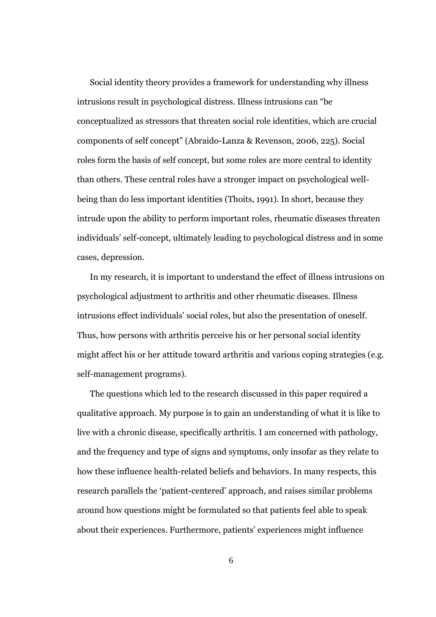Social identity theory provides a framework for understanding why illness intrusions result in psychological distress. Illness intrusions can "be conceptualized as stressors that threaten social role identities, which are crucial components of self concept" (Abraido-Lanza & Revenson, 2006, 225). Social roles form the basis of self concept, but some roles are more central to identity than others. These central roles have a stronger impact on psychological wellbeing than do less important identities (Thoits, 1991). In short, because they intrude upon the ability to perform important roles, rheumatic diseases threaten individuals' self-concept, ultimately leading to psychological distress and in some cases, depression.

In my research, it is important to understand the effect of illness intrusions on psychological adjustment to arthritis and other rheumatic diseases. Illness intrusions effect individuals' social roles, but also the presentation of oneself. Thus, how persons with arthritis perceive his or her personal social identity might affect his or her attitude toward arthritis and various coping strategies (e.g. self-management programs).

The questions which led to the research discussed in this paper required a qualitative approach. My purpose is to gain an understanding of what it is like to live with a chronic disease, specifically arthritis. I am concerned with pathology, and the frequency and type of signs and symptoms, only insofar as they relate to how these influence health-related beliefs and behaviors. In many respects, this research parallels the 'patient-centered' approach, and raises similar problems around how questions might be formulated so that patients feel able to speak about their experiences. Furthermore, patients' experiences might influence

6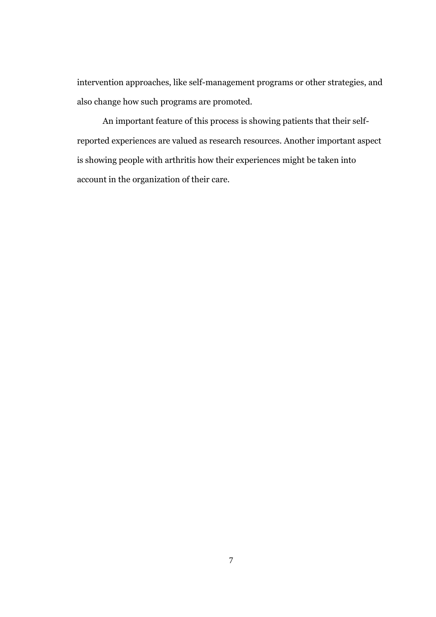intervention approaches, like self-management programs or other strategies, and also change how such programs are promoted.

An important feature of this process is showing patients that their selfreported experiences are valued as research resources. Another important aspect is showing people with arthritis how their experiences might be taken into account in the organization of their care.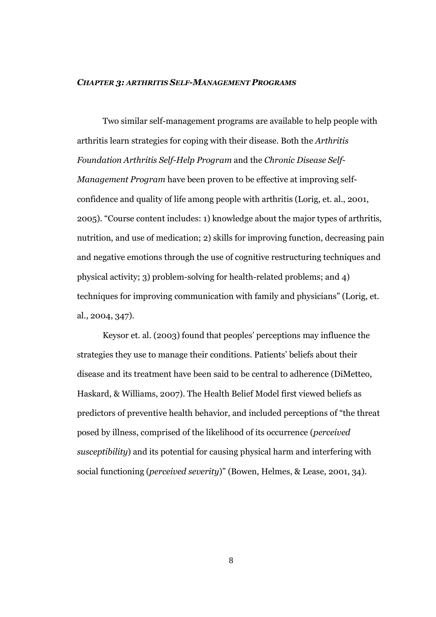#### *CHAPTER 3: ARTHRITIS SELF-MANAGEMENT PROGRAMS*

Two similar self-management programs are available to help people with arthritis learn strategies for coping with their disease. Both the *Arthritis Foundation Arthritis Self-Help Program* and the *Chronic Disease Self-Management Program* have been proven to be effective at improving selfconfidence and quality of life among people with arthritis (Lorig, et. al., 2001, 2005). "Course content includes: 1) knowledge about the major types of arthritis, nutrition, and use of medication; 2) skills for improving function, decreasing pain and negative emotions through the use of cognitive restructuring techniques and physical activity; 3) problem-solving for health-related problems; and 4) techniques for improving communication with family and physicians" (Lorig, et. al., 2004, 347).

Keysor et. al. (2003) found that peoples' perceptions may influence the strategies they use to manage their conditions. Patients' beliefs about their disease and its treatment have been said to be central to adherence (DiMetteo, Haskard, & Williams, 2007). The Health Belief Model first viewed beliefs as predictors of preventive health behavior, and included perceptions of "the threat posed by illness, comprised of the likelihood of its occurrence (*perceived susceptibility*) and its potential for causing physical harm and interfering with social functioning (*perceived severity*)" (Bowen, Helmes, & Lease, 2001, 34).

8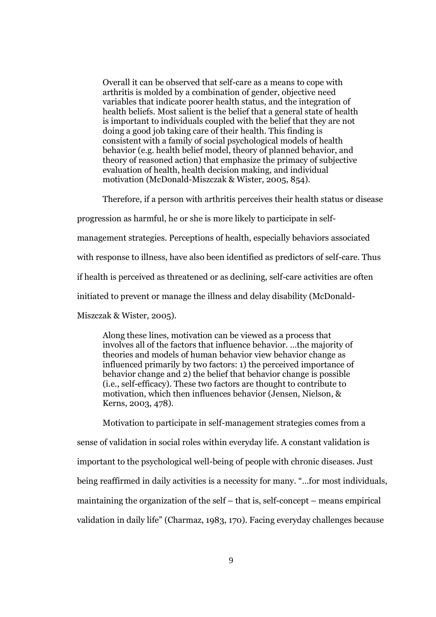Overall it can be observed that self-care as a means to cope with arthritis is molded by a combination of gender, objective need variables that indicate poorer health status, and the integration of health beliefs. Most salient is the belief that a general state of health is important to individuals coupled with the belief that they are not doing a good job taking care of their health. This finding is consistent with a family of social psychological models of health behavior (e.g. health belief model, theory of planned behavior, and theory of reasoned action) that emphasize the primacy of subjective evaluation of health, health decision making, and individual motivation (McDonald-Miszczak & Wister, 2005, 854).

Therefore, if a person with arthritis perceives their health status or disease

progression as harmful, he or she is more likely to participate in self-

management strategies. Perceptions of health, especially behaviors associated

with response to illness, have also been identified as predictors of self-care. Thus

if health is perceived as threatened or as declining, self-care activities are often

initiated to prevent or manage the illness and delay disability (McDonald-

Miszczak & Wister, 2005).

Along these lines, motivation can be viewed as a process that involves all of the factors that influence behavior. …the majority of theories and models of human behavior view behavior change as influenced primarily by two factors: 1) the perceived importance of behavior change and 2) the belief that behavior change is possible (i.e., self-efficacy). These two factors are thought to contribute to motivation, which then influences behavior (Jensen, Nielson, & Kerns, 2003, 478).

Motivation to participate in self-management strategies comes from a sense of validation in social roles within everyday life. A constant validation is important to the psychological well-being of people with chronic diseases. Just being reaffirmed in daily activities is a necessity for many. "…for most individuals, maintaining the organization of the self – that is, self-concept – means empirical validation in daily life" (Charmaz, 1983, 170). Facing everyday challenges because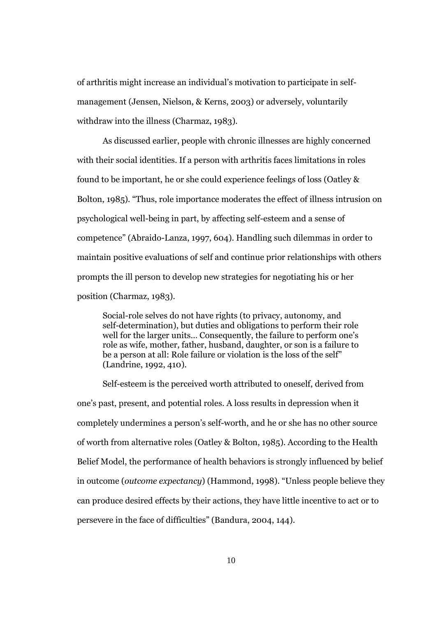of arthritis might increase an individual's motivation to participate in selfmanagement (Jensen, Nielson, & Kerns, 2003) or adversely, voluntarily withdraw into the illness (Charmaz, 1983).

As discussed earlier, people with chronic illnesses are highly concerned with their social identities. If a person with arthritis faces limitations in roles found to be important, he or she could experience feelings of loss (Oatley & Bolton, 1985). "Thus, role importance moderates the effect of illness intrusion on psychological well-being in part, by affecting self-esteem and a sense of competence" (Abraido-Lanza, 1997, 604). Handling such dilemmas in order to maintain positive evaluations of self and continue prior relationships with others prompts the ill person to develop new strategies for negotiating his or her position (Charmaz, 1983).

Social-role selves do not have rights (to privacy, autonomy, and self-determination), but duties and obligations to perform their role well for the larger units... Consequently, the failure to perform one's role as wife, mother, father, husband, daughter, or son is a failure to be a person at all: Role failure or violation is the loss of the self" (Landrine, 1992, 410).

Self-esteem is the perceived worth attributed to oneself, derived from one's past, present, and potential roles. A loss results in depression when it completely undermines a person's self-worth, and he or she has no other source of worth from alternative roles (Oatley & Bolton, 1985). According to the Health Belief Model, the performance of health behaviors is strongly influenced by belief in outcome (*outcome expectancy*) (Hammond, 1998). "Unless people believe they can produce desired effects by their actions, they have little incentive to act or to persevere in the face of difficulties" (Bandura, 2004, 144).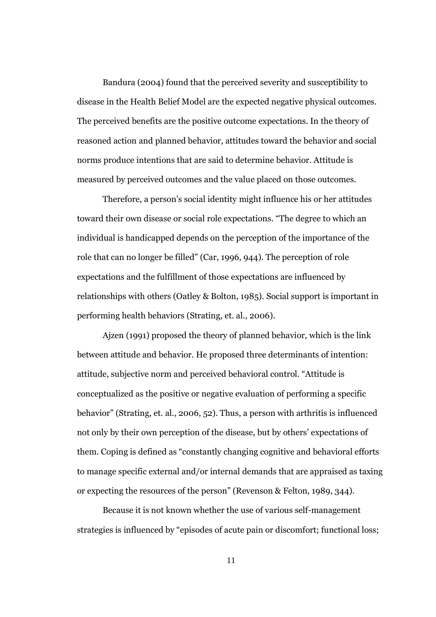Bandura (2004) found that the perceived severity and susceptibility to disease in the Health Belief Model are the expected negative physical outcomes. The perceived benefits are the positive outcome expectations. In the theory of reasoned action and planned behavior, attitudes toward the behavior and social norms produce intentions that are said to determine behavior. Attitude is measured by perceived outcomes and the value placed on those outcomes.

Therefore, a person's social identity might influence his or her attitudes toward their own disease or social role expectations. "The degree to which an individual is handicapped depends on the perception of the importance of the role that can no longer be filled" (Car, 1996, 944). The perception of role expectations and the fulfillment of those expectations are influenced by relationships with others (Oatley & Bolton, 1985). Social support is important in performing health behaviors (Strating, et. al., 2006).

Ajzen (1991) proposed the theory of planned behavior, which is the link between attitude and behavior. He proposed three determinants of intention: attitude, subjective norm and perceived behavioral control. "Attitude is conceptualized as the positive or negative evaluation of performing a specific behavior" (Strating, et. al., 2006, 52). Thus, a person with arthritis is influenced not only by their own perception of the disease, but by others' expectations of them. Coping is defined as "constantly changing cognitive and behavioral efforts to manage specific external and/or internal demands that are appraised as taxing or expecting the resources of the person" (Revenson & Felton, 1989, 344).

Because it is not known whether the use of various self-management strategies is influenced by "episodes of acute pain or discomfort; functional loss;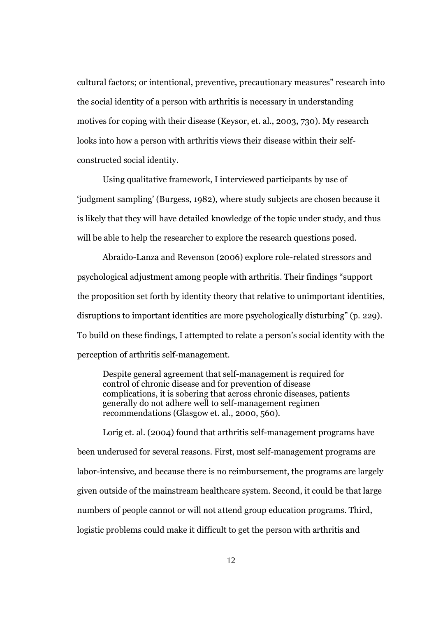cultural factors; or intentional, preventive, precautionary measures" research into the social identity of a person with arthritis is necessary in understanding motives for coping with their disease (Keysor, et. al., 2003, 730). My research looks into how a person with arthritis views their disease within their selfconstructed social identity.

Using qualitative framework, I interviewed participants by use of 'judgment sampling' (Burgess, 1982), where study subjects are chosen because it is likely that they will have detailed knowledge of the topic under study, and thus will be able to help the researcher to explore the research questions posed.

Abraido-Lanza and Revenson (2006) explore role-related stressors and psychological adjustment among people with arthritis. Their findings "support the proposition set forth by identity theory that relative to unimportant identities, disruptions to important identities are more psychologically disturbing" (p. 229). To build on these findings, I attempted to relate a person's social identity with the perception of arthritis self-management.

Despite general agreement that self-management is required for control of chronic disease and for prevention of disease complications, it is sobering that across chronic diseases, patients generally do not adhere well to self-management regimen recommendations (Glasgow et. al., 2000, 560).

Lorig et. al. (2004) found that arthritis self-management programs have been underused for several reasons. First, most self-management programs are labor-intensive, and because there is no reimbursement, the programs are largely given outside of the mainstream healthcare system. Second, it could be that large numbers of people cannot or will not attend group education programs. Third, logistic problems could make it difficult to get the person with arthritis and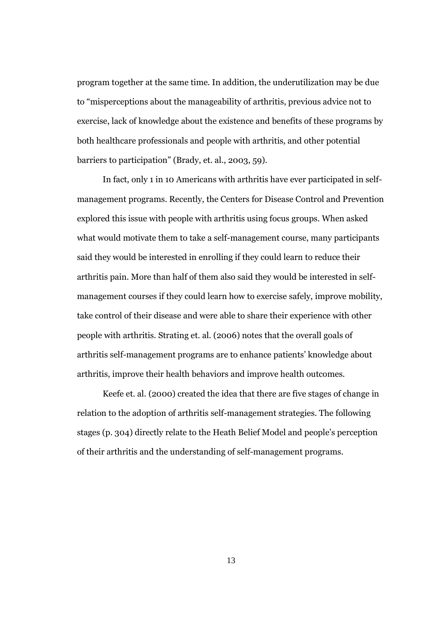program together at the same time. In addition, the underutilization may be due to "misperceptions about the manageability of arthritis, previous advice not to exercise, lack of knowledge about the existence and benefits of these programs by both healthcare professionals and people with arthritis, and other potential barriers to participation" (Brady, et. al., 2003, 59).

In fact, only 1 in 10 Americans with arthritis have ever participated in selfmanagement programs. Recently, the Centers for Disease Control and Prevention explored this issue with people with arthritis using focus groups. When asked what would motivate them to take a self-management course, many participants said they would be interested in enrolling if they could learn to reduce their arthritis pain. More than half of them also said they would be interested in selfmanagement courses if they could learn how to exercise safely, improve mobility, take control of their disease and were able to share their experience with other people with arthritis. Strating et. al. (2006) notes that the overall goals of arthritis self-management programs are to enhance patients' knowledge about arthritis, improve their health behaviors and improve health outcomes.

Keefe et. al. (2000) created the idea that there are five stages of change in relation to the adoption of arthritis self-management strategies. The following stages (p. 304) directly relate to the Heath Belief Model and people's perception of their arthritis and the understanding of self-management programs.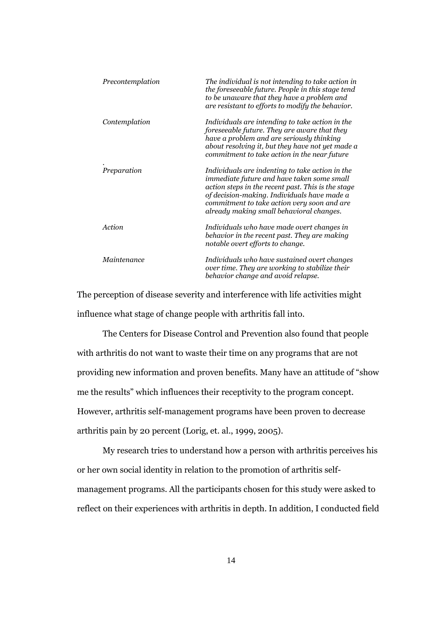| Precontemplation | The individual is not intending to take action in<br>the foreseeable future. People in this stage tend<br>to be unaware that they have a problem and<br>are resistant to efforts to modify the behavior.                                                                                      |
|------------------|-----------------------------------------------------------------------------------------------------------------------------------------------------------------------------------------------------------------------------------------------------------------------------------------------|
| Contemplation    | Individuals are intending to take action in the<br>foreseeable future. They are aware that they<br>have a problem and are seriously thinking<br>about resolving it, but they have not yet made a<br>commitment to take action in the near future                                              |
| Preparation      | Individuals are indenting to take action in the<br>immediate future and have taken some small<br>action steps in the recent past. This is the stage<br>of decision-making. Individuals have made a<br>commitment to take action very soon and are<br>already making small behavioral changes. |
| Action           | Individuals who have made overt changes in<br>behavior in the recent past. They are making<br>notable overt efforts to change.                                                                                                                                                                |
| Maintenance      | Individuals who have sustained overt changes<br>over time. They are working to stabilize their<br>behavior change and avoid relapse.                                                                                                                                                          |

The perception of disease severity and interference with life activities might influence what stage of change people with arthritis fall into.

The Centers for Disease Control and Prevention also found that people with arthritis do not want to waste their time on any programs that are not providing new information and proven benefits. Many have an attitude of "show me the results" which influences their receptivity to the program concept. However, arthritis self-management programs have been proven to decrease arthritis pain by 20 percent (Lorig, et. al., 1999, 2005).

My research tries to understand how a person with arthritis perceives his or her own social identity in relation to the promotion of arthritis selfmanagement programs. All the participants chosen for this study were asked to reflect on their experiences with arthritis in depth. In addition, I conducted field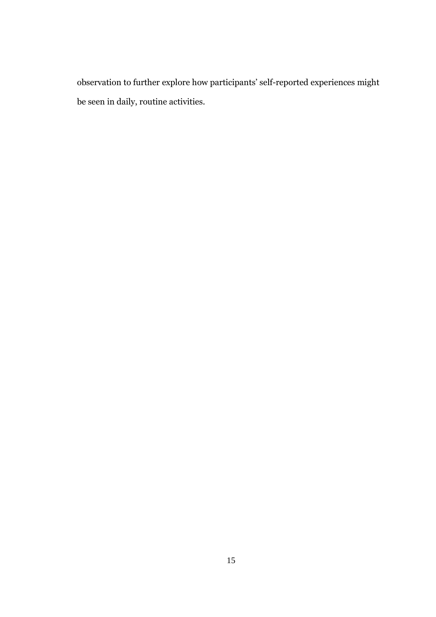observation to further explore how participants' self-reported experiences might be seen in daily, routine activities.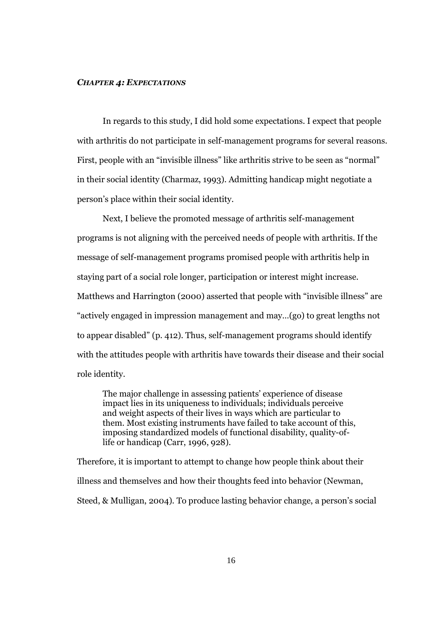#### *CHAPTER 4: EXPECTATIONS*

In regards to this study, I did hold some expectations. I expect that people with arthritis do not participate in self-management programs for several reasons. First, people with an "invisible illness" like arthritis strive to be seen as "normal" in their social identity (Charmaz, 1993). Admitting handicap might negotiate a person's place within their social identity.

Next, I believe the promoted message of arthritis self-management programs is not aligning with the perceived needs of people with arthritis. If the message of self-management programs promised people with arthritis help in staying part of a social role longer, participation or interest might increase. Matthews and Harrington (2000) asserted that people with "invisible illness" are "actively engaged in impression management and may…(go) to great lengths not to appear disabled" (p. 412). Thus, self-management programs should identify with the attitudes people with arthritis have towards their disease and their social role identity.

The major challenge in assessing patients' experience of disease impact lies in its uniqueness to individuals; individuals perceive and weight aspects of their lives in ways which are particular to them. Most existing instruments have failed to take account of this, imposing standardized models of functional disability, quality-oflife or handicap (Carr, 1996, 928).

Therefore, it is important to attempt to change how people think about their illness and themselves and how their thoughts feed into behavior (Newman, Steed, & Mulligan, 2004). To produce lasting behavior change, a person's social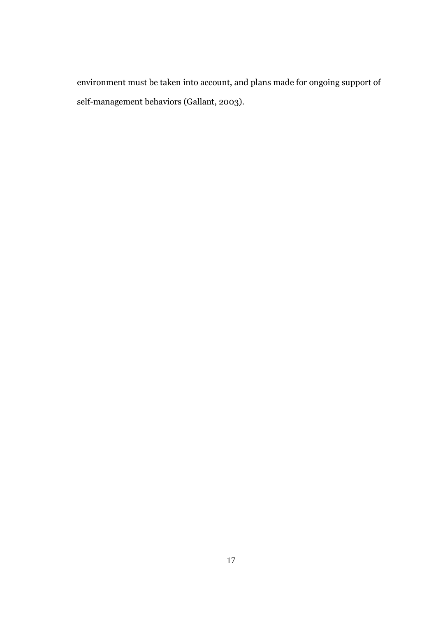environment must be taken into account, and plans made for ongoing support of self-management behaviors (Gallant, 2003).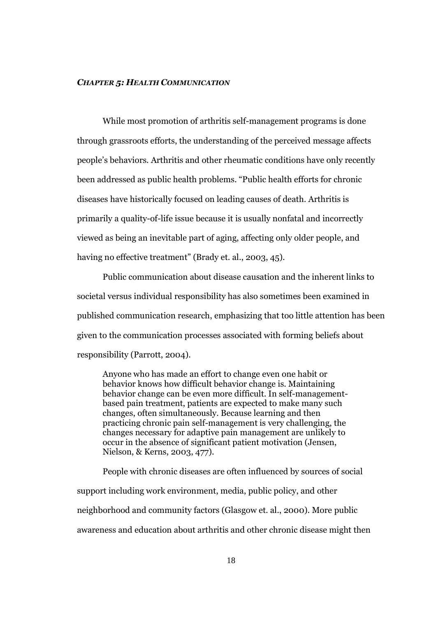#### *CHAPTER 5: HEALTH COMMUNICATION*

While most promotion of arthritis self-management programs is done through grassroots efforts, the understanding of the perceived message affects people's behaviors. Arthritis and other rheumatic conditions have only recently been addressed as public health problems. "Public health efforts for chronic diseases have historically focused on leading causes of death. Arthritis is primarily a quality-of-life issue because it is usually nonfatal and incorrectly viewed as being an inevitable part of aging, affecting only older people, and having no effective treatment" (Brady et. al., 2003, 45).

Public communication about disease causation and the inherent links to societal versus individual responsibility has also sometimes been examined in published communication research, emphasizing that too little attention has been given to the communication processes associated with forming beliefs about responsibility (Parrott, 2004).

Anyone who has made an effort to change even one habit or behavior knows how difficult behavior change is. Maintaining behavior change can be even more difficult. In self-managementbased pain treatment, patients are expected to make many such changes, often simultaneously. Because learning and then practicing chronic pain self-management is very challenging, the changes necessary for adaptive pain management are unlikely to occur in the absence of significant patient motivation (Jensen, Nielson, & Kerns, 2003, 477).

People with chronic diseases are often influenced by sources of social support including work environment, media, public policy, and other neighborhood and community factors (Glasgow et. al., 2000). More public awareness and education about arthritis and other chronic disease might then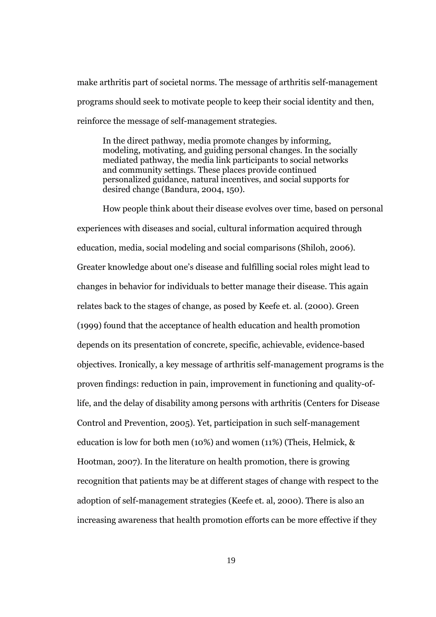make arthritis part of societal norms. The message of arthritis self-management programs should seek to motivate people to keep their social identity and then, reinforce the message of self-management strategies.

In the direct pathway, media promote changes by informing, modeling, motivating, and guiding personal changes. In the socially mediated pathway, the media link participants to social networks and community settings. These places provide continued personalized guidance, natural incentives, and social supports for desired change (Bandura, 2004, 150).

How people think about their disease evolves over time, based on personal experiences with diseases and social, cultural information acquired through education, media, social modeling and social comparisons (Shiloh, 2006). Greater knowledge about one's disease and fulfilling social roles might lead to changes in behavior for individuals to better manage their disease. This again relates back to the stages of change, as posed by Keefe et. al. (2000). Green (1999) found that the acceptance of health education and health promotion depends on its presentation of concrete, specific, achievable, evidence-based objectives. Ironically, a key message of arthritis self-management programs is the proven findings: reduction in pain, improvement in functioning and quality-oflife, and the delay of disability among persons with arthritis (Centers for Disease Control and Prevention, 2005). Yet, participation in such self-management education is low for both men (10%) and women (11%) (Theis, Helmick, & Hootman, 2007). In the literature on health promotion, there is growing recognition that patients may be at different stages of change with respect to the adoption of self-management strategies (Keefe et. al, 2000). There is also an increasing awareness that health promotion efforts can be more effective if they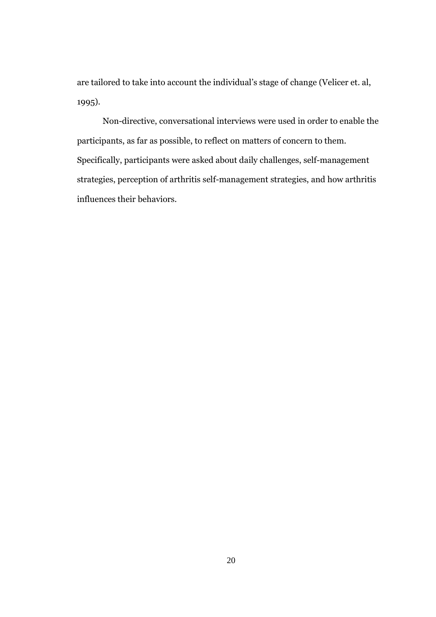are tailored to take into account the individual's stage of change (Velicer et. al, 1995).

Non-directive, conversational interviews were used in order to enable the participants, as far as possible, to reflect on matters of concern to them. Specifically, participants were asked about daily challenges, self-management strategies, perception of arthritis self-management strategies, and how arthritis influences their behaviors.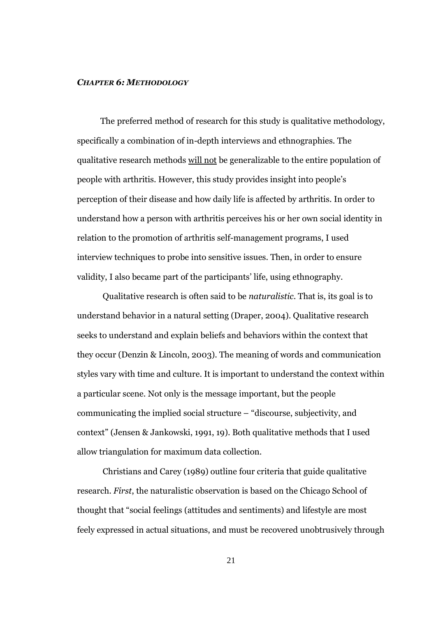#### *CHAPTER 6: METHODOLOGY*

The preferred method of research for this study is qualitative methodology, specifically a combination of in-depth interviews and ethnographies. The qualitative research methods will not be generalizable to the entire population of people with arthritis. However, this study provides insight into people's perception of their disease and how daily life is affected by arthritis. In order to understand how a person with arthritis perceives his or her own social identity in relation to the promotion of arthritis self-management programs, I used interview techniques to probe into sensitive issues. Then, in order to ensure validity, I also became part of the participants' life, using ethnography.

Qualitative research is often said to be *naturalistic*. That is, its goal is to understand behavior in a natural setting (Draper, 2004). Qualitative research seeks to understand and explain beliefs and behaviors within the context that they occur (Denzin & Lincoln, 2003). The meaning of words and communication styles vary with time and culture. It is important to understand the context within a particular scene. Not only is the message important, but the people communicating the implied social structure – "discourse, subjectivity, and context" (Jensen & Jankowski, 1991, 19). Both qualitative methods that I used allow triangulation for maximum data collection.

Christians and Carey (1989) outline four criteria that guide qualitative research. *First*, the naturalistic observation is based on the Chicago School of thought that "social feelings (attitudes and sentiments) and lifestyle are most feely expressed in actual situations, and must be recovered unobtrusively through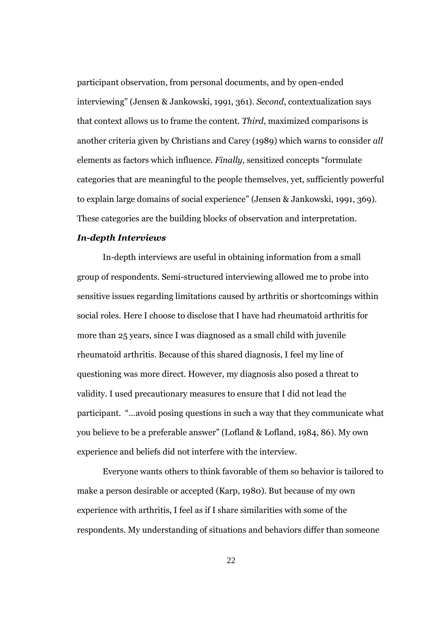participant observation, from personal documents, and by open-ended interviewing" (Jensen & Jankowski, 1991, 361). *Second*, contextualization says that context allows us to frame the content. *Third*, maximized comparisons is another criteria given by Christians and Carey (1989) which warns to consider *all* elements as factors which influence. *Finally*, sensitized concepts "formulate categories that are meaningful to the people themselves, yet, sufficiently powerful to explain large domains of social experience" (Jensen & Jankowski, 1991, 369). These categories are the building blocks of observation and interpretation.

# *In-depth Interviews*

In-depth interviews are useful in obtaining information from a small group of respondents. Semi-structured interviewing allowed me to probe into sensitive issues regarding limitations caused by arthritis or shortcomings within social roles. Here I choose to disclose that I have had rheumatoid arthritis for more than 25 years, since I was diagnosed as a small child with juvenile rheumatoid arthritis. Because of this shared diagnosis, I feel my line of questioning was more direct. However, my diagnosis also posed a threat to validity. I used precautionary measures to ensure that I did not lead the participant. "…avoid posing questions in such a way that they communicate what you believe to be a preferable answer" (Lofland & Lofland, 1984, 86). My own experience and beliefs did not interfere with the interview.

Everyone wants others to think favorable of them so behavior is tailored to make a person desirable or accepted (Karp, 1980). But because of my own experience with arthritis, I feel as if I share similarities with some of the respondents. My understanding of situations and behaviors differ than someone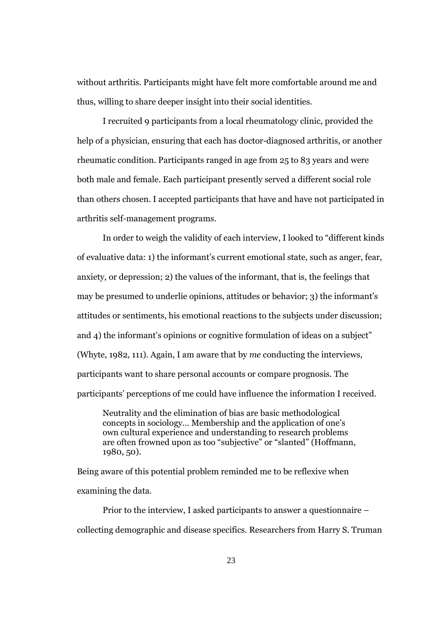without arthritis. Participants might have felt more comfortable around me and thus, willing to share deeper insight into their social identities.

I recruited 9 participants from a local rheumatology clinic, provided the help of a physician, ensuring that each has doctor-diagnosed arthritis, or another rheumatic condition. Participants ranged in age from 25 to 83 years and were both male and female. Each participant presently served a different social role than others chosen. I accepted participants that have and have not participated in arthritis self-management programs.

In order to weigh the validity of each interview, I looked to "different kinds of evaluative data: 1) the informant's current emotional state, such as anger, fear, anxiety, or depression; 2) the values of the informant, that is, the feelings that may be presumed to underlie opinions, attitudes or behavior; 3) the informant's attitudes or sentiments, his emotional reactions to the subjects under discussion; and 4) the informant's opinions or cognitive formulation of ideas on a subject" (Whyte, 1982, 111). Again, I am aware that by *me* conducting the interviews, participants want to share personal accounts or compare prognosis. The participants' perceptions of me could have influence the information I received.

Neutrality and the elimination of bias are basic methodological concepts in sociology… Membership and the application of one's own cultural experience and understanding to research problems are often frowned upon as too "subjective" or "slanted" (Hoffmann, 1980, 50).

Being aware of this potential problem reminded me to be reflexive when examining the data.

Prior to the interview, I asked participants to answer a questionnaire – collecting demographic and disease specifics. Researchers from Harry S. Truman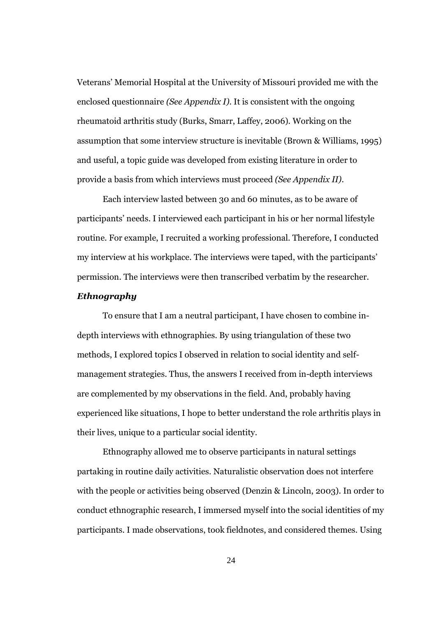Veterans' Memorial Hospital at the University of Missouri provided me with the enclosed questionnaire *(See Appendix I)*. It is consistent with the ongoing rheumatoid arthritis study (Burks, Smarr, Laffey, 2006). Working on the assumption that some interview structure is inevitable (Brown & Williams, 1995) and useful, a topic guide was developed from existing literature in order to provide a basis from which interviews must proceed *(See Appendix II)*.

Each interview lasted between 30 and 60 minutes, as to be aware of participants' needs. I interviewed each participant in his or her normal lifestyle routine. For example, I recruited a working professional. Therefore, I conducted my interview at his workplace. The interviews were taped, with the participants' permission. The interviews were then transcribed verbatim by the researcher.

# *Ethnography*

To ensure that I am a neutral participant, I have chosen to combine indepth interviews with ethnographies. By using triangulation of these two methods, I explored topics I observed in relation to social identity and selfmanagement strategies. Thus, the answers I received from in-depth interviews are complemented by my observations in the field. And, probably having experienced like situations, I hope to better understand the role arthritis plays in their lives, unique to a particular social identity.

Ethnography allowed me to observe participants in natural settings partaking in routine daily activities. Naturalistic observation does not interfere with the people or activities being observed (Denzin & Lincoln, 2003). In order to conduct ethnographic research, I immersed myself into the social identities of my participants. I made observations, took fieldnotes, and considered themes. Using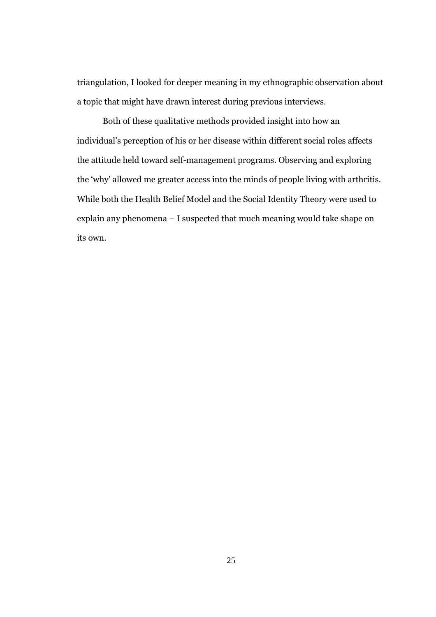triangulation, I looked for deeper meaning in my ethnographic observation about a topic that might have drawn interest during previous interviews.

Both of these qualitative methods provided insight into how an individual's perception of his or her disease within different social roles affects the attitude held toward self-management programs. Observing and exploring the 'why' allowed me greater access into the minds of people living with arthritis. While both the Health Belief Model and the Social Identity Theory were used to explain any phenomena – I suspected that much meaning would take shape on its own.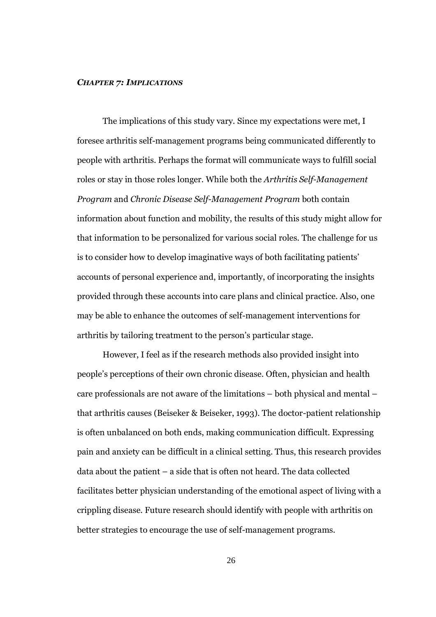#### *CHAPTER 7: IMPLICATIONS*

The implications of this study vary. Since my expectations were met, I foresee arthritis self-management programs being communicated differently to people with arthritis. Perhaps the format will communicate ways to fulfill social roles or stay in those roles longer. While both the *Arthritis Self-Management Program* and *Chronic Disease Self-Management Program* both contain information about function and mobility, the results of this study might allow for that information to be personalized for various social roles. The challenge for us is to consider how to develop imaginative ways of both facilitating patients' accounts of personal experience and, importantly, of incorporating the insights provided through these accounts into care plans and clinical practice. Also, one may be able to enhance the outcomes of self-management interventions for arthritis by tailoring treatment to the person's particular stage.

However, I feel as if the research methods also provided insight into people's perceptions of their own chronic disease. Often, physician and health care professionals are not aware of the limitations – both physical and mental – that arthritis causes (Beiseker & Beiseker, 1993). The doctor-patient relationship is often unbalanced on both ends, making communication difficult. Expressing pain and anxiety can be difficult in a clinical setting. Thus, this research provides data about the patient – a side that is often not heard. The data collected facilitates better physician understanding of the emotional aspect of living with a crippling disease. Future research should identify with people with arthritis on better strategies to encourage the use of self-management programs.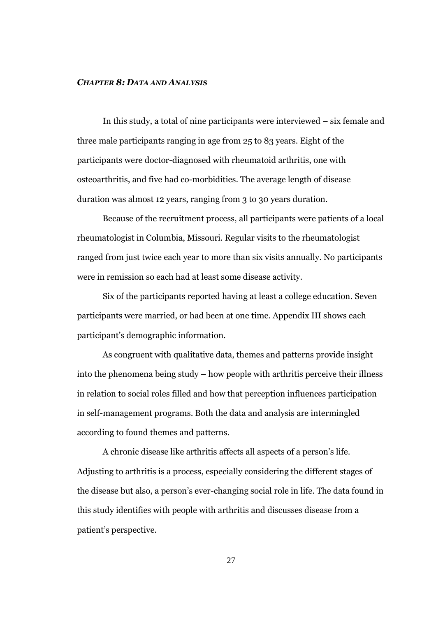#### *CHAPTER 8: DATA AND ANALYSIS*

In this study, a total of nine participants were interviewed – six female and three male participants ranging in age from 25 to 83 years. Eight of the participants were doctor-diagnosed with rheumatoid arthritis, one with osteoarthritis, and five had co-morbidities. The average length of disease duration was almost 12 years, ranging from 3 to 30 years duration.

Because of the recruitment process, all participants were patients of a local rheumatologist in Columbia, Missouri. Regular visits to the rheumatologist ranged from just twice each year to more than six visits annually. No participants were in remission so each had at least some disease activity.

Six of the participants reported having at least a college education. Seven participants were married, or had been at one time. Appendix III shows each participant's demographic information.

As congruent with qualitative data, themes and patterns provide insight into the phenomena being study – how people with arthritis perceive their illness in relation to social roles filled and how that perception influences participation in self-management programs. Both the data and analysis are intermingled according to found themes and patterns.

A chronic disease like arthritis affects all aspects of a person's life. Adjusting to arthritis is a process, especially considering the different stages of the disease but also, a person's ever-changing social role in life. The data found in this study identifies with people with arthritis and discusses disease from a patient's perspective.

27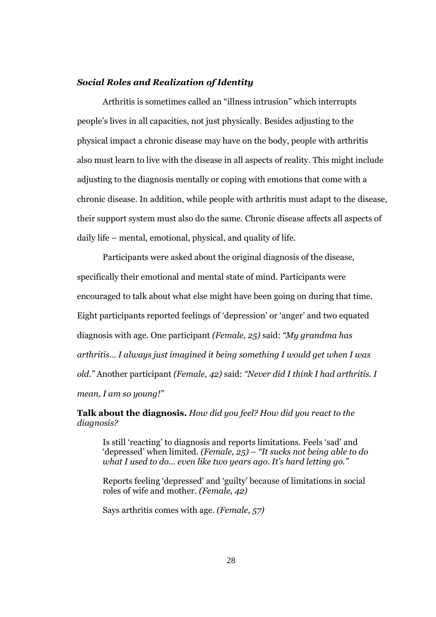### *Social Roles and Realization of Identity*

Arthritis is sometimes called an "illness intrusion" which interrupts people's lives in all capacities, not just physically. Besides adjusting to the physical impact a chronic disease may have on the body, people with arthritis also must learn to live with the disease in all aspects of reality. This might include adjusting to the diagnosis mentally or coping with emotions that come with a chronic disease. In addition, while people with arthritis must adapt to the disease, their support system must also do the same. Chronic disease affects all aspects of daily life – mental, emotional, physical, and quality of life.

Participants were asked about the original diagnosis of the disease, specifically their emotional and mental state of mind. Participants were encouraged to talk about what else might have been going on during that time. Eight participants reported feelings of 'depression' or 'anger' and two equated diagnosis with age. One participant *(Female, 25)* said: *"My grandma has arthritis… I always just imagined it being something I would get when I was old."* Another participant *(Female, 42)* said: *"Never did I think I had arthritis. I mean, I am so young!"*

**Talk about the diagnosis.** *How did you feel? How did you react to the diagnosis?*

Is still 'reacting' to diagnosis and reports limitations. Feels 'sad' and 'depressed' when limited. *(Female, 25) – "It sucks not being able to do what I used to do… even like two years ago. It's hard letting go."*

Reports feeling 'depressed' and 'guilty' because of limitations in social roles of wife and mother. *(Female, 42)*

Says arthritis comes with age. *(Female, 57)*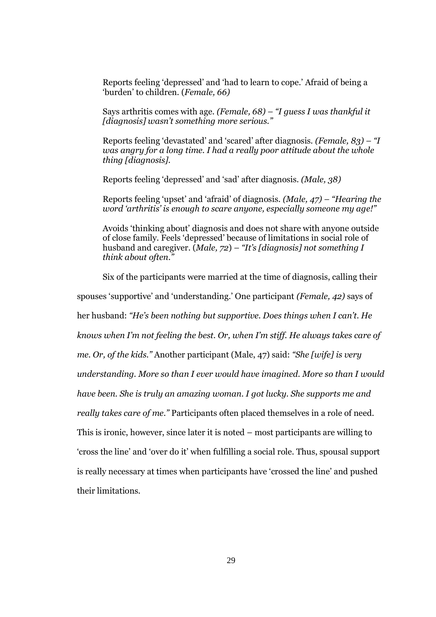Reports feeling 'depressed' and 'had to learn to cope.' Afraid of being a 'burden' to children. (*Female, 66)*

Says arthritis comes with age. *(Female, 68) – "I guess I was thankful it [diagnosis] wasn't something more serious."*

Reports feeling 'devastated' and 'scared' after diagnosis. *(Female, 83) – "I was angry for a long time. I had a really poor attitude about the whole thing [diagnosis].*

Reports feeling 'depressed' and 'sad' after diagnosis. *(Male, 38)*

Reports feeling 'upset' and 'afraid' of diagnosis. *(Male, 47) – "Hearing the word 'arthritis' is enough to scare anyone, especially someone my age!"*

Avoids 'thinking about' diagnosis and does not share with anyone outside of close family. Feels 'depressed' because of limitations in social role of husband and caregiver. (*Male, 72*) *– "It's [diagnosis] not something I think about often."*

Six of the participants were married at the time of diagnosis, calling their

spouses 'supportive' and 'understanding.' One participant *(Female, 42)* says of

her husband: *"He's been nothing but supportive. Does things when I can't. He*

*knows when I'm not feeling the best. Or, when I'm stiff. He always takes care of*

*me. Or, of the kids."* Another participant (Male, 47) said: *"She [wife] is very*

*understanding. More so than I ever would have imagined. More so than I would*

*have been. She is truly an amazing woman. I got lucky. She supports me and*

*really takes care of me."* Participants often placed themselves in a role of need.

This is ironic, however, since later it is noted – most participants are willing to

'cross the line' and 'over do it' when fulfilling a social role. Thus, spousal support

is really necessary at times when participants have 'crossed the line' and pushed

their limitations.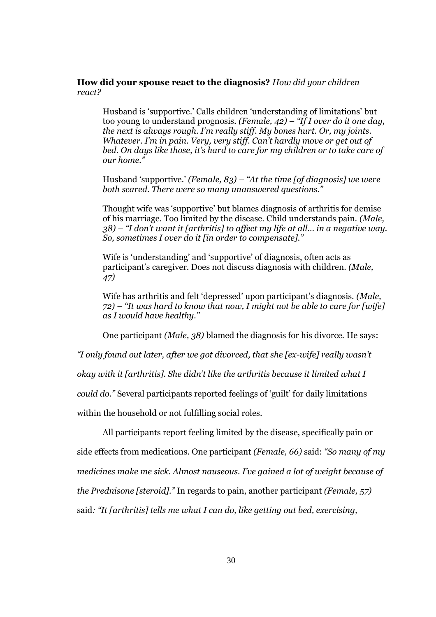## **How did your spouse react to the diagnosis?** *How did your children react?*

Husband is 'supportive.' Calls children 'understanding of limitations' but too young to understand prognosis. *(Female, 42) – "If I over do it one day, the next is always rough. I'm really stiff. My bones hurt. Or, my joints. Whatever. I'm in pain. Very, very stiff. Can't hardly move or get out of bed. On days like those, it's hard to care for my children or to take care of our home."*

Husband 'supportive.' *(Female, 83) – "At the time [of diagnosis] we were both scared. There were so many unanswered questions."*

Thought wife was 'supportive' but blames diagnosis of arthritis for demise of his marriage. Too limited by the disease. Child understands pain. *(Male, 38) – "I don't want it [arthritis] to affect my life at all… in a negative way. So, sometimes I over do it [in order to compensate]."*

Wife is 'understanding' and 'supportive' of diagnosis, often acts as participant's caregiver. Does not discuss diagnosis with children. *(Male, 47)*

Wife has arthritis and felt 'depressed' upon participant's diagnosis. *(Male, 72) – "It was hard to know that now, I might not be able to care for [wife] as I would have healthy."*

One participant *(Male, 38)* blamed the diagnosis for his divorce. He says:

*"I only found out later, after we got divorced, that she [ex-wife] really wasn't*

*okay with it [arthritis]. She didn't like the arthritis because it limited what I*

*could do."* Several participants reported feelings of 'guilt' for daily limitations

within the household or not fulfilling social roles.

All participants report feeling limited by the disease, specifically pain or side effects from medications. One participant *(Female, 66)* said: *"So many of my medicines make me sick. Almost nauseous. I've gained a lot of weight because of the Prednisone [steroid]."* In regards to pain, another participant *(Female, 57)* said*: "It [arthritis] tells me what I can do, like getting out bed, exercising,*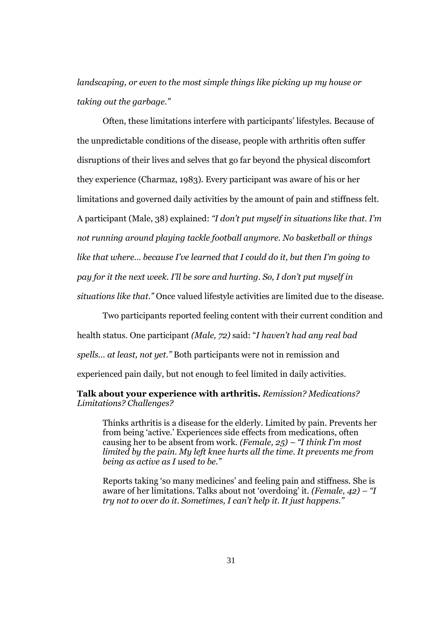*landscaping, or even to the most simple things like picking up my house or taking out the garbage."*

Often, these limitations interfere with participants' lifestyles. Because of the unpredictable conditions of the disease, people with arthritis often suffer disruptions of their lives and selves that go far beyond the physical discomfort they experience (Charmaz, 1983). Every participant was aware of his or her limitations and governed daily activities by the amount of pain and stiffness felt. A participant (Male, 38) explained: *"I don't put myself in situations like that. I'm not running around playing tackle football anymore. No basketball or things like that where… because I've learned that I could do it, but then I'm going to pay for it the next week. I'll be sore and hurting. So, I don't put myself in situations like that."* Once valued lifestyle activities are limited due to the disease.

Two participants reported feeling content with their current condition and health status. One participant *(Male, 72)* said: "*I haven't had any real bad spells… at least, not yet."* Both participants were not in remission and experienced pain daily, but not enough to feel limited in daily activities.

## **Talk about your experience with arthritis.** *Remission? Medications? Limitations? Challenges?*

Thinks arthritis is a disease for the elderly. Limited by pain. Prevents her from being 'active.' Experiences side effects from medications, often causing her to be absent from work. *(Female, 25) – "I think I'm most limited by the pain. My left knee hurts all the time. It prevents me from being as active as I used to be."*

Reports taking 'so many medicines' and feeling pain and stiffness. She is aware of her limitations. Talks about not 'overdoing' it. *(Female, 42) – "I try not to over do it. Sometimes, I can't help it. It just happens."*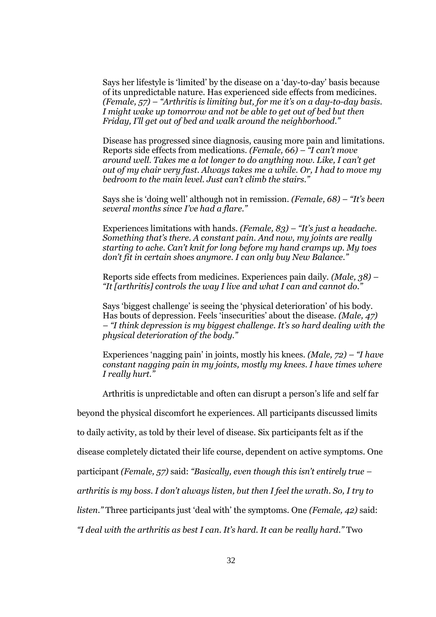Says her lifestyle is 'limited' by the disease on a 'day-to-day' basis because of its unpredictable nature. Has experienced side effects from medicines. *(Female, 57) – "Arthritis is limiting but, for me it's on a day-to-day basis. I might wake up tomorrow and not be able to get out of bed but then Friday, I'll get out of bed and walk around the neighborhood."*

Disease has progressed since diagnosis, causing more pain and limitations. Reports side effects from medications. *(Female, 66) – "I can't move around well. Takes me a lot longer to do anything now. Like, I can't get out of my chair very fast. Always takes me a while. Or, I had to move my bedroom to the main level. Just can't climb the stairs."*

Says she is 'doing well' although not in remission. *(Female, 68) – "It's been several months since I've had a flare."*

Experiences limitations with hands. *(Female, 83) – "It's just a headache. Something that's there. A constant pain. And now, my joints are really starting to ache. Can't knit for long before my hand cramps up. My toes don't fit in certain shoes anymore. I can only buy New Balance."*

Reports side effects from medicines. Experiences pain daily. *(Male, 38) – "It [arthritis] controls the way I live and what I can and cannot do."*

Says 'biggest challenge' is seeing the 'physical deterioration' of his body. Has bouts of depression. Feels 'insecurities' about the disease. *(Male, 47) – "I think depression is my biggest challenge. It's so hard dealing with the physical deterioration of the body."*

Experiences 'nagging pain' in joints, mostly his knees. *(Male, 72) – "I have constant nagging pain in my joints, mostly my knees. I have times where I really hurt."*

Arthritis is unpredictable and often can disrupt a person's life and self far

beyond the physical discomfort he experiences. All participants discussed limits

to daily activity, as told by their level of disease. Six participants felt as if the

disease completely dictated their life course, dependent on active symptoms. One

participant *(Female, 57)* said: *"Basically, even though this isn't entirely true –*

*arthritis is my boss. I don't always listen, but then I feel the wrath. So, I try to*

*listen."* Three participants just 'deal with' the symptoms. One *(Female, 42)* said:

*"I deal with the arthritis as best I can. It's hard. It can be really hard."* Two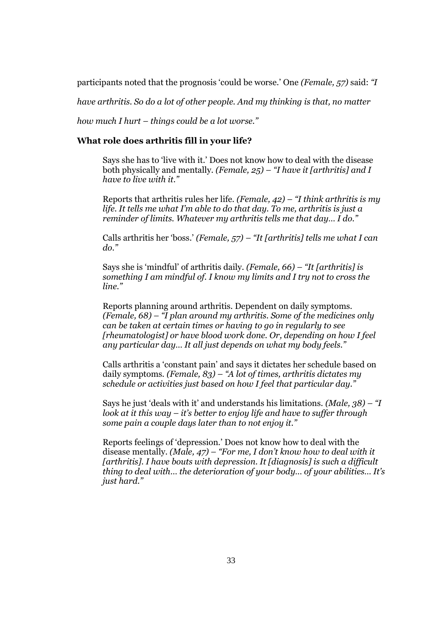participants noted that the prognosis 'could be worse.' One *(Female, 57)* said: *"I*

*have arthritis. So do a lot of other people. And my thinking is that, no matter*

*how much I hurt – things could be a lot worse."*

## **What role does arthritis fill in your life?**

Says she has to 'live with it.' Does not know how to deal with the disease both physically and mentally. *(Female, 25) – "I have it [arthritis] and I have to live with it."*

Reports that arthritis rules her life. *(Female, 42) – "I think arthritis is my life. It tells me what I'm able to do that day. To me, arthritis is just a reminder of limits. Whatever my arthritis tells me that day… I do."*

Calls arthritis her 'boss.' *(Female, 57) – "It [arthritis] tells me what I can do."*

Says she is 'mindful' of arthritis daily. *(Female, 66) – "It [arthritis] is something I am mindful of. I know my limits and I try not to cross the line."*

Reports planning around arthritis. Dependent on daily symptoms. *(Female, 68) – "I plan around my arthritis. Some of the medicines only can be taken at certain times or having to go in regularly to see [rheumatologist] or have blood work done. Or, depending on how I feel any particular day… It all just depends on what my body feels."*

Calls arthritis a 'constant pain' and says it dictates her schedule based on daily symptoms. *(Female, 83) – "A lot of times, arthritis dictates my schedule or activities just based on how I feel that particular day."*

Says he just 'deals with it' and understands his limitations. *(Male, 38) – "I look at it this way – it's better to enjoy life and have to suffer through some pain a couple days later than to not enjoy it."*

Reports feelings of 'depression.' Does not know how to deal with the disease mentally. *(Male, 47) – "For me, I don't know how to deal with it [arthritis]. I have bouts with depression. It [diagnosis] is such a difficult thing to deal with… the deterioration of your body… of your abilities… It's just hard."*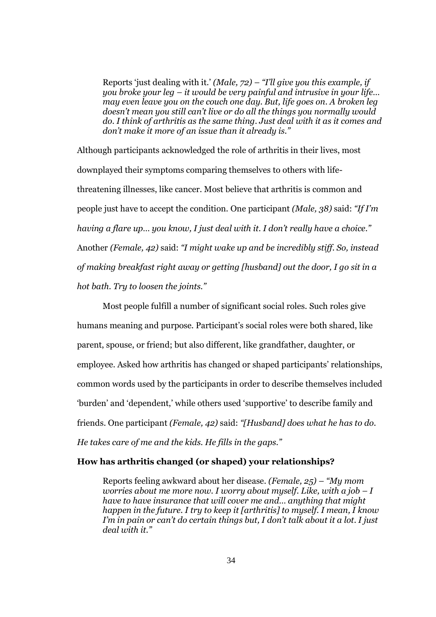Reports 'just dealing with it.' *(Male, 72) – "I'll give you this example, if you broke your leg – it would be very painful and intrusive in your life… may even leave you on the couch one day. But, life goes on. A broken leg doesn't mean you still can't live or do all the things you normally would do. I think of arthritis as the same thing. Just deal with it as it comes and don't make it more of an issue than it already is."*

Although participants acknowledged the role of arthritis in their lives, most downplayed their symptoms comparing themselves to others with lifethreatening illnesses, like cancer. Most believe that arthritis is common and people just have to accept the condition. One participant *(Male, 38)* said: *"If I'm having a flare up… you know, I just deal with it. I don't really have a choice."* Another *(Female, 42)* said: *"I might wake up and be incredibly stiff. So, instead of making breakfast right away or getting [husband] out the door, I go sit in a hot bath. Try to loosen the joints."*

Most people fulfill a number of significant social roles. Such roles give humans meaning and purpose. Participant's social roles were both shared, like parent, spouse, or friend; but also different, like grandfather, daughter, or employee. Asked how arthritis has changed or shaped participants' relationships, common words used by the participants in order to describe themselves included 'burden' and 'dependent,' while others used 'supportive' to describe family and friends. One participant *(Female, 42)* said: *"[Husband] does what he has to do. He takes care of me and the kids. He fills in the gaps."*

# **How has arthritis changed (or shaped) your relationships?**

Reports feeling awkward about her disease. *(Female, 25) – "My mom worries about me more now. I worry about myself. Like, with a job – I have to have insurance that will cover me and… anything that might happen in the future. I try to keep it [arthritis] to myself. I mean, I know I'm in pain or can't do certain things but, I don't talk about it a lot. I just deal with it."*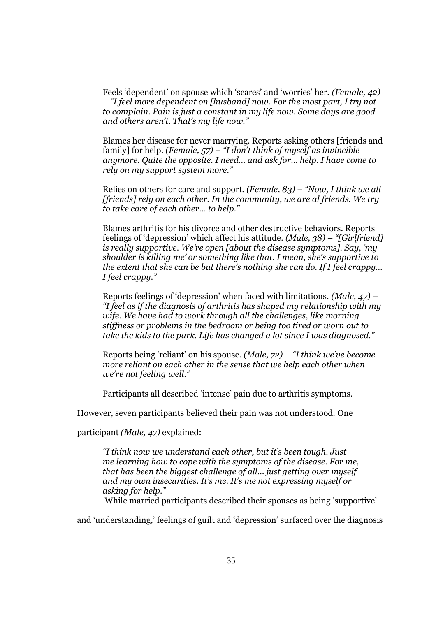Feels 'dependent' on spouse which 'scares' and 'worries' her. *(Female, 42) – "I feel more dependent on [husband] now. For the most part, I try not to complain. Pain is just a constant in my life now. Some days are good and others aren't. That's my life now."*

Blames her disease for never marrying. Reports asking others [friends and family] for help. *(Female, 57) – "I don't think of myself as invincible anymore. Quite the opposite. I need… and ask for… help. I have come to rely on my support system more."*

Relies on others for care and support. *(Female, 83) – "Now, I think we all [friends] rely on each other. In the community, we are al friends. We try to take care of each other… to help."*

Blames arthritis for his divorce and other destructive behaviors. Reports feelings of 'depression' which affect his attitude. *(Male, 38) – "[Girlfriend] is really supportive. We're open [about the disease symptoms]. Say, 'my shoulder is killing me' or something like that. I mean, she's supportive to the extent that she can be but there's nothing she can do. If I feel crappy… I feel crappy."*

Reports feelings of 'depression' when faced with limitations. *(Male, 47) – "I feel as if the diagnosis of arthritis has shaped my relationship with my wife. We have had to work through all the challenges, like morning stiffness or problems in the bedroom or being too tired or worn out to take the kids to the park. Life has changed a lot since I was diagnosed."*

Reports being 'reliant' on his spouse. *(Male, 72) – "I think we've become more reliant on each other in the sense that we help each other when we're not feeling well."*

Participants all described 'intense' pain due to arthritis symptoms.

However, seven participants believed their pain was not understood. One

participant *(Male, 47)* explained:

*"I think now we understand each other, but it's been tough. Just me learning how to cope with the symptoms of the disease. For me, that has been the biggest challenge of all… just getting over myself and my own insecurities. It's me. It's me not expressing myself or asking for help."*

While married participants described their spouses as being 'supportive'

and 'understanding,' feelings of guilt and 'depression' surfaced over the diagnosis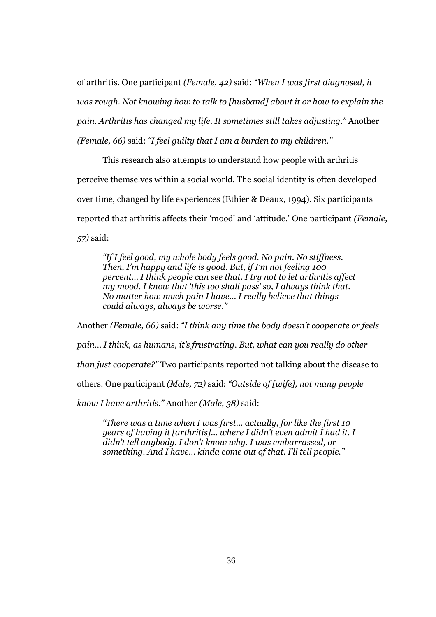of arthritis. One participant *(Female, 42)* said: *"When I was first diagnosed, it was rough. Not knowing how to talk to [husband] about it or how to explain the pain. Arthritis has changed my life. It sometimes still takes adjusting."* Another *(Female, 66)* said: *"I feel guilty that I am a burden to my children."*

This research also attempts to understand how people with arthritis perceive themselves within a social world. The social identity is often developed over time, changed by life experiences (Ethier & Deaux, 1994). Six participants reported that arthritis affects their 'mood' and 'attitude.' One participant *(Female, 57)* said:

*"If I feel good, my whole body feels good. No pain. No stiffness. Then, I'm happy and life is good. But, if I'm not feeling 100 percent… I think people can see that. I try not to let arthritis affect my mood. I know that 'this too shall pass' so, I always think that. No matter how much pain I have… I really believe that things could always, always be worse."*

Another *(Female, 66)* said: *"I think any time the body doesn't cooperate or feels pain… I think, as humans, it's frustrating. But, what can you really do other than just cooperate?"* Two participants reported not talking about the disease to others. One participant *(Male, 72)* said: *"Outside of [wife], not many people know I have arthritis."* Another *(Male, 38)* said:

*"There was a time when I was first… actually, for like the first 10 years of having it [arthritis]… where I didn't even admit I had it. I didn't tell anybody. I don't know why. I was embarrassed, or something. And I have… kinda come out of that. I'll tell people."*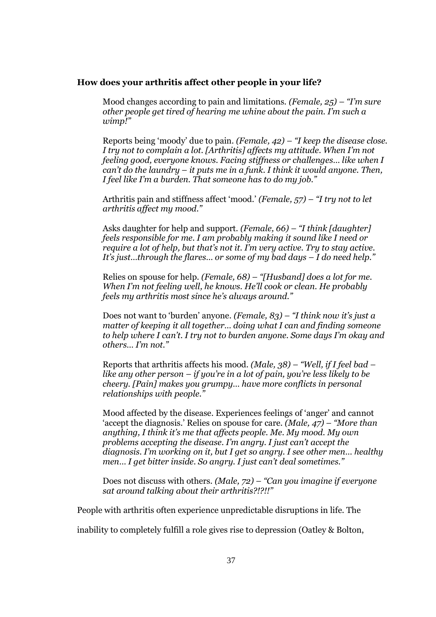#### **How does your arthritis affect other people in your life?**

Mood changes according to pain and limitations. *(Female, 25) – "I'm sure other people get tired of hearing me whine about the pain. I'm such a wimp!"*

Reports being 'moody' due to pain. *(Female, 42) – "I keep the disease close. I try not to complain a lot. [Arthritis] affects my attitude. When I'm not feeling good, everyone knows. Facing stiffness or challenges… like when I can't do the laundry – it puts me in a funk. I think it would anyone. Then, I feel like I'm a burden. That someone has to do my job."*

Arthritis pain and stiffness affect 'mood.' *(Female, 57) – "I try not to let arthritis affect my mood."*

Asks daughter for help and support. *(Female, 66) – "I think [daughter] feels responsible for me. I am probably making it sound like I need or require a lot of help, but that's not it. I'm very active. Try to stay active. It's just…through the flares… or some of my bad days – I do need help."*

Relies on spouse for help. *(Female, 68) – "[Husband] does a lot for me. When I'm not feeling well, he knows. He'll cook or clean. He probably feels my arthritis most since he's always around."*

Does not want to 'burden' anyone. *(Female, 83) – "I think now it's just a matter of keeping it all together… doing what I can and finding someone to help where I can't. I try not to burden anyone. Some days I'm okay and others… I'm not."*

Reports that arthritis affects his mood. *(Male, 38) – "Well, if I feel bad – like any other person – if you're in a lot of pain, you're less likely to be cheery. [Pain] makes you grumpy… have more conflicts in personal relationships with people."*

Mood affected by the disease. Experiences feelings of 'anger' and cannot 'accept the diagnosis.' Relies on spouse for care. *(Male, 47) – "More than anything, I think it's me that affects people. Me. My mood. My own problems accepting the disease. I'm angry. I just can't accept the diagnosis. I'm working on it, but I get so angry. I see other men… healthy men… I get bitter inside. So angry. I just can't deal sometimes."*

Does not discuss with others. *(Male, 72) – "Can you imagine if everyone sat around talking about their arthritis?!?!!"*

People with arthritis often experience unpredictable disruptions in life. The

inability to completely fulfill a role gives rise to depression (Oatley & Bolton,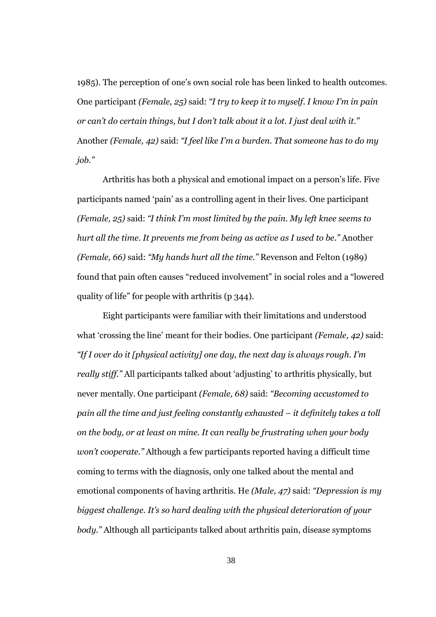1985). The perception of one's own social role has been linked to health outcomes. One participant *(Female, 25)* said: *"I try to keep it to myself. I know I'm in pain or can't do certain things, but I don't talk about it a lot. I just deal with it."* Another *(Female, 42)* said: *"I feel like I'm a burden. That someone has to do my job."*

Arthritis has both a physical and emotional impact on a person's life. Five participants named 'pain' as a controlling agent in their lives. One participant *(Female, 25)* said: *"I think I'm most limited by the pain. My left knee seems to hurt all the time. It prevents me from being as active as I used to be."* Another *(Female, 66)* said: *"My hands hurt all the time."* Revenson and Felton (1989) found that pain often causes "reduced involvement" in social roles and a "lowered quality of life" for people with arthritis (p 344).

Eight participants were familiar with their limitations and understood what 'crossing the line' meant for their bodies. One participant *(Female, 42)* said: *"If I over do it [physical activity] one day, the next day is always rough. I'm really stiff."* All participants talked about 'adjusting' to arthritis physically, but never mentally. One participant *(Female, 68)* said: *"Becoming accustomed to pain all the time and just feeling constantly exhausted – it definitely takes a toll on the body, or at least on mine. It can really be frustrating when your body won't cooperate."* Although a few participants reported having a difficult time coming to terms with the diagnosis, only one talked about the mental and emotional components of having arthritis. He *(Male, 47)* said: *"Depression is my biggest challenge. It's so hard dealing with the physical deterioration of your body."* Although all participants talked about arthritis pain, disease symptoms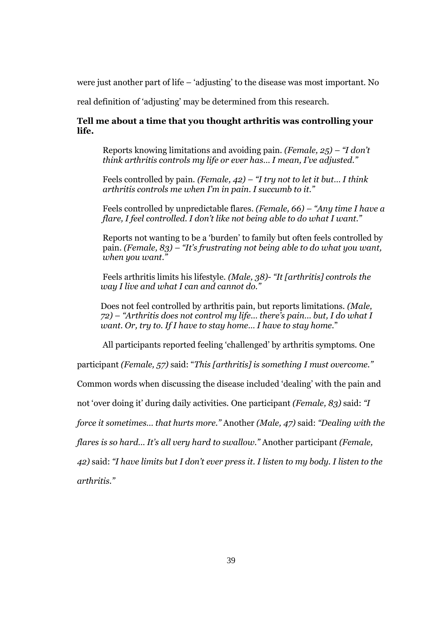were just another part of life – 'adjusting' to the disease was most important. No

real definition of 'adjusting' may be determined from this research.

# **Tell me about a time that you thought arthritis was controlling your life.**

Reports knowing limitations and avoiding pain. *(Female, 25) – "I don't think arthritis controls my life or ever has… I mean, I've adjusted."*

Feels controlled by pain. *(Female, 42) – "I try not to let it but… I think arthritis controls me when I'm in pain. I succumb to it."*

Feels controlled by unpredictable flares. *(Female, 66) – "Any time I have a flare, I feel controlled. I don't like not being able to do what I want."*

Reports not wanting to be a 'burden' to family but often feels controlled by pain. *(Female, 83) – "It's frustrating not being able to do what you want, when you want."*

Feels arthritis limits his lifestyle. *(Male, 38)- "It [arthritis] controls the way I live and what I can and cannot do."*

Does not feel controlled by arthritis pain, but reports limitations. *(Male, 72) – "Arthritis does not control my life… there's pain… but, I do what I want. Or, try to. If I have to stay home… I have to stay home.*"

All participants reported feeling 'challenged' by arthritis symptoms. One

participant *(Female, 57)* said: "*This [arthritis] is something I must overcome."*

Common words when discussing the disease included 'dealing' with the pain and

not 'over doing it' during daily activities. One participant *(Female, 83)* said: *"I*

*force it sometimes… that hurts more."* Another *(Male, 47)* said: *"Dealing with the*

*flares is so hard… It's all very hard to swallow."* Another participant *(Female,*

*42)* said: *"I have limits but I don't ever press it. I listen to my body. I listen to the*

*arthritis."*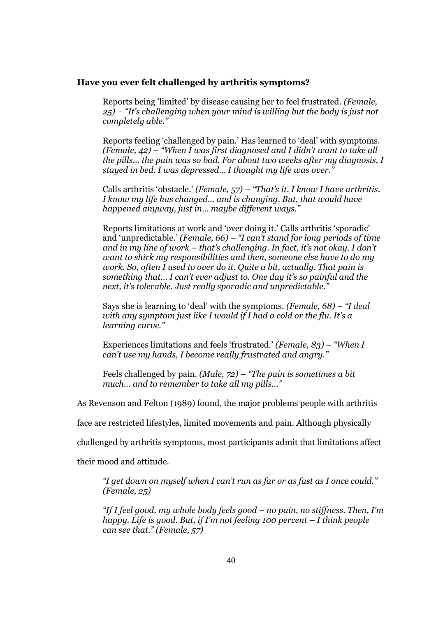#### **Have you ever felt challenged by arthritis symptoms?**

Reports being 'limited' by disease causing her to feel frustrated. *(Female, 25) – "It's challenging when your mind is willing but the body is just not completely able."*

Reports feeling 'challenged by pain.' Has learned to 'deal' with symptoms. *(Female, 42) – "When I was first diagnosed and I didn't want to take all the pills… the pain was so bad. For about two weeks after my diagnosis, I stayed in bed. I was depressed… I thought my life was over."*

Calls arthritis 'obstacle.' *(Female, 57) – "That's it. I know I have arthritis. I know my life has changed… and is changing. But, that would have happened anyway, just in… maybe different ways."*

Reports limitations at work and 'over doing it.' Calls arthritis 'sporadic' and 'unpredictable.' *(Female, 66) – "I can't stand for long periods of time and in my line of work – that's challenging. In fact, it's not okay. I don't want to shirk my responsibilities and then, someone else have to do my work. So, often I used to over do it. Quite a bit, actually. That pain is something that… I can't ever adjust to. One day it's so painful and the next, it's tolerable. Just really sporadic and unpredictable."*

Says she is learning to 'deal' with the symptoms. *(Female, 68) – "I deal with any symptom just like I would if I had a cold or the flu. It's a learning curve."*

Experiences limitations and feels 'frustrated.' *(Female, 83) – "When I can't use my hands, I become really frustrated and angry."*

Feels challenged by pain. *(Male, 72) – "The pain is sometimes a bit much… and to remember to take all my pills…"*

As Revenson and Felton (1989) found, the major problems people with arthritis

face are restricted lifestyles, limited movements and pain. Although physically

challenged by arthritis symptoms, most participants admit that limitations affect

their mood and attitude.

*"I get down on myself when I can't run as far or as fast as I once could." (Female, 25)*

*"If I feel good, my whole body feels good – no pain, no stiffness. Then, I'm happy. Life is good. But, if I'm not feeling 100 percent – I think people can see that." (Female, 57)*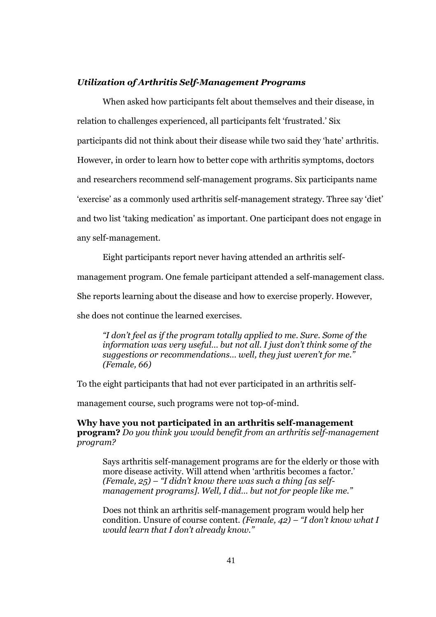#### *Utilization of Arthritis Self-Management Programs*

When asked how participants felt about themselves and their disease, in relation to challenges experienced, all participants felt 'frustrated.' Six participants did not think about their disease while two said they 'hate' arthritis. However, in order to learn how to better cope with arthritis symptoms, doctors and researchers recommend self-management programs. Six participants name 'exercise' as a commonly used arthritis self-management strategy. Three say 'diet' and two list 'taking medication' as important. One participant does not engage in any self-management.

Eight participants report never having attended an arthritis self-

management program. One female participant attended a self-management class.

She reports learning about the disease and how to exercise properly. However,

she does not continue the learned exercises.

*"I don't feel as if the program totally applied to me. Sure. Some of the information was very useful… but not all. I just don't think some of the suggestions or recommendations… well, they just weren't for me." (Female, 66)*

To the eight participants that had not ever participated in an arthritis self-

management course, such programs were not top-of-mind.

**Why have you not participated in an arthritis self-management program?** *Do you think you would benefit from an arthritis self-management program?*

Says arthritis self-management programs are for the elderly or those with more disease activity. Will attend when 'arthritis becomes a factor.' *(Female, 25) – "I didn't know there was such a thing [as selfmanagement programs]. Well, I did… but not for people like me."*

Does not think an arthritis self-management program would help her condition. Unsure of course content. *(Female, 42) – "I don't know what I would learn that I don't already know."*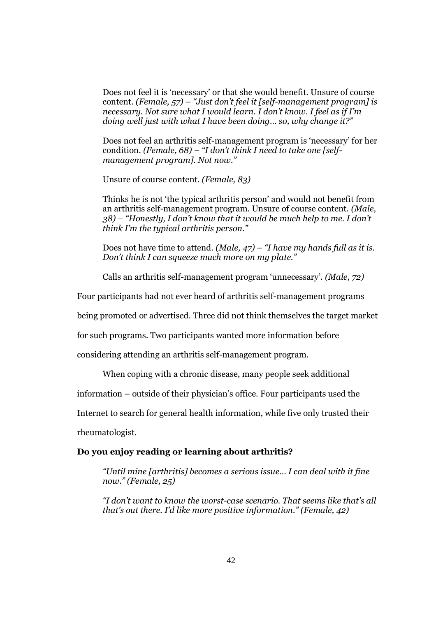Does not feel it is 'necessary' or that she would benefit. Unsure of course content. *(Female, 57) – "Just don't feel it [self-management program] is necessary. Not sure what I would learn. I don't know. I feel as if I'm doing well just with what I have been doing… so, why change it?"*

Does not feel an arthritis self-management program is 'necessary' for her condition. *(Female, 68) – "I don't think I need to take one [selfmanagement program]. Not now."*

Unsure of course content. *(Female, 83)*

Thinks he is not 'the typical arthritis person' and would not benefit from an arthritis self-management program. Unsure of course content. *(Male, 38) – "Honestly, I don't know that it would be much help to me. I don't think I'm the typical arthritis person."*

Does not have time to attend. *(Male, 47) – "I have my hands full as it is. Don't think I can squeeze much more on my plate."*

Calls an arthritis self-management program 'unnecessary'. *(Male, 72)*

Four participants had not ever heard of arthritis self-management programs

being promoted or advertised. Three did not think themselves the target market

for such programs. Two participants wanted more information before

considering attending an arthritis self-management program.

When coping with a chronic disease, many people seek additional

information – outside of their physician's office. Four participants used the

Internet to search for general health information, while five only trusted their

rheumatologist.

#### **Do you enjoy reading or learning about arthritis?**

*"Until mine [arthritis] becomes a serious issue… I can deal with it fine now." (Female, 25)*

*"I don't want to know the worst-case scenario. That seems like that's all that's out there. I'd like more positive information." (Female, 42)*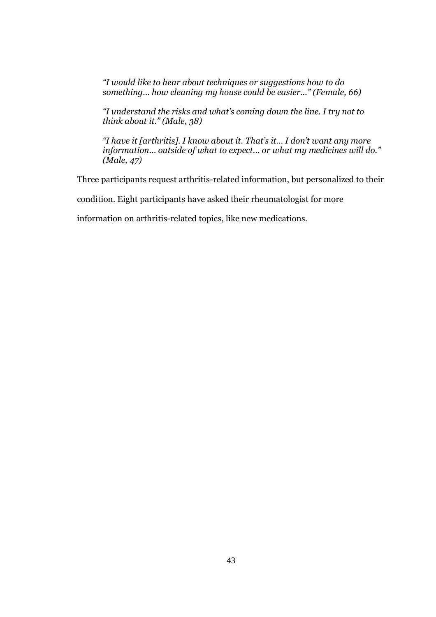*"I would like to hear about techniques or suggestions how to do something… how cleaning my house could be easier…" (Female, 66)*

*"I understand the risks and what's coming down the line. I try not to think about it." (Male, 38)*

*"I have it [arthritis]. I know about it. That's it… I don't want any more information… outside of what to expect… or what my medicines will do." (Male, 47)*

Three participants request arthritis-related information, but personalized to their

condition. Eight participants have asked their rheumatologist for more

information on arthritis-related topics, like new medications.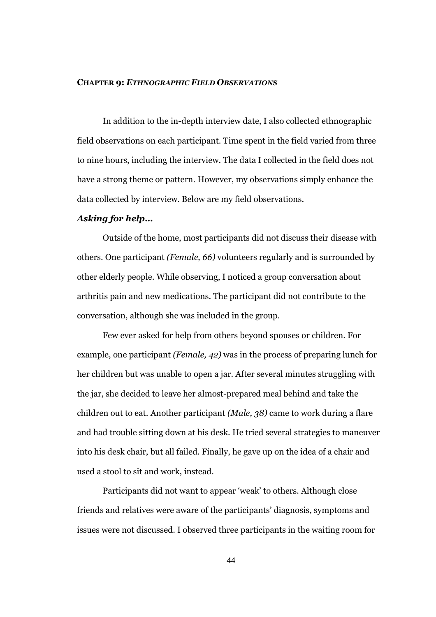#### **CHAPTER 9:** *ETHNOGRAPHIC FIELD OBSERVATIONS*

In addition to the in-depth interview date, I also collected ethnographic field observations on each participant. Time spent in the field varied from three to nine hours, including the interview. The data I collected in the field does not have a strong theme or pattern. However, my observations simply enhance the data collected by interview. Below are my field observations.

### *Asking for help…*

Outside of the home, most participants did not discuss their disease with others. One participant *(Female, 66)* volunteers regularly and is surrounded by other elderly people. While observing, I noticed a group conversation about arthritis pain and new medications. The participant did not contribute to the conversation, although she was included in the group.

Few ever asked for help from others beyond spouses or children. For example, one participant *(Female, 42)* was in the process of preparing lunch for her children but was unable to open a jar. After several minutes struggling with the jar, she decided to leave her almost-prepared meal behind and take the children out to eat. Another participant *(Male, 38)* came to work during a flare and had trouble sitting down at his desk. He tried several strategies to maneuver into his desk chair, but all failed. Finally, he gave up on the idea of a chair and used a stool to sit and work, instead.

Participants did not want to appear 'weak' to others. Although close friends and relatives were aware of the participants' diagnosis, symptoms and issues were not discussed. I observed three participants in the waiting room for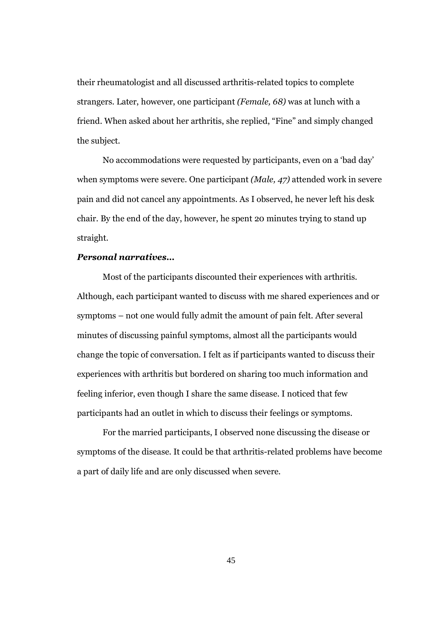their rheumatologist and all discussed arthritis-related topics to complete strangers. Later, however, one participant *(Female, 68)* was at lunch with a friend. When asked about her arthritis, she replied, "Fine" and simply changed the subject.

No accommodations were requested by participants, even on a 'bad day' when symptoms were severe. One participant *(Male, 47)* attended work in severe pain and did not cancel any appointments. As I observed, he never left his desk chair. By the end of the day, however, he spent 20 minutes trying to stand up straight.

### *Personal narratives…*

Most of the participants discounted their experiences with arthritis. Although, each participant wanted to discuss with me shared experiences and or symptoms – not one would fully admit the amount of pain felt. After several minutes of discussing painful symptoms, almost all the participants would change the topic of conversation. I felt as if participants wanted to discuss their experiences with arthritis but bordered on sharing too much information and feeling inferior, even though I share the same disease. I noticed that few participants had an outlet in which to discuss their feelings or symptoms.

For the married participants, I observed none discussing the disease or symptoms of the disease. It could be that arthritis-related problems have become a part of daily life and are only discussed when severe.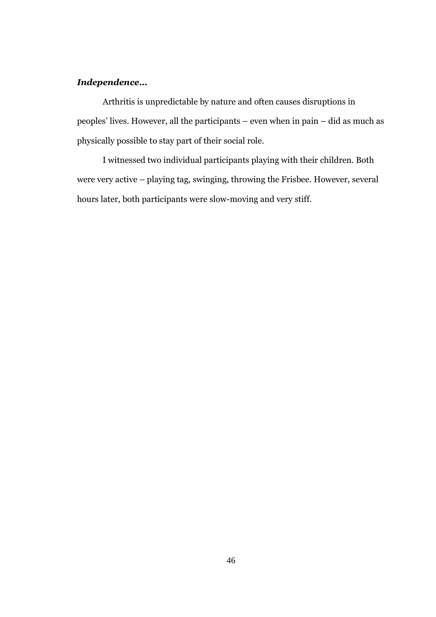# *Independence…*

Arthritis is unpredictable by nature and often causes disruptions in peoples' lives. However, all the participants – even when in pain – did as much as physically possible to stay part of their social role.

I witnessed two individual participants playing with their children. Both were very active – playing tag, swinging, throwing the Frisbee. However, several hours later, both participants were slow-moving and very stiff.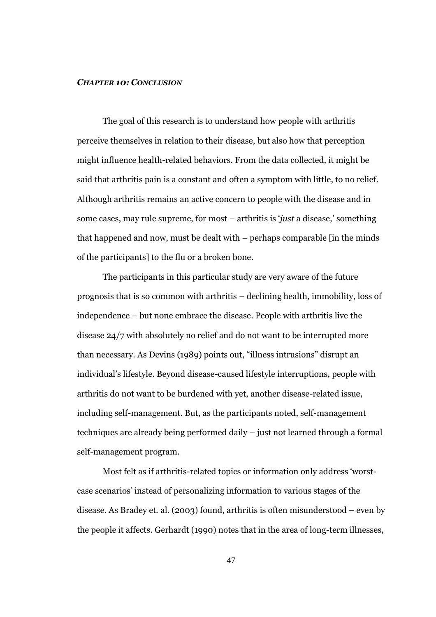#### *CHAPTER 10: CONCLUSION*

The goal of this research is to understand how people with arthritis perceive themselves in relation to their disease, but also how that perception might influence health-related behaviors. From the data collected, it might be said that arthritis pain is a constant and often a symptom with little, to no relief. Although arthritis remains an active concern to people with the disease and in some cases, may rule supreme, for most – arthritis is '*just* a disease,' something that happened and now, must be dealt with – perhaps comparable [in the minds of the participants] to the flu or a broken bone.

The participants in this particular study are very aware of the future prognosis that is so common with arthritis – declining health, immobility, loss of independence – but none embrace the disease. People with arthritis live the disease 24/7 with absolutely no relief and do not want to be interrupted more than necessary. As Devins (1989) points out, "illness intrusions" disrupt an individual's lifestyle. Beyond disease-caused lifestyle interruptions, people with arthritis do not want to be burdened with yet, another disease-related issue, including self-management. But, as the participants noted, self-management techniques are already being performed daily – just not learned through a formal self-management program.

Most felt as if arthritis-related topics or information only address 'worstcase scenarios' instead of personalizing information to various stages of the disease. As Bradey et. al. (2003) found, arthritis is often misunderstood – even by the people it affects. Gerhardt (1990) notes that in the area of long-term illnesses,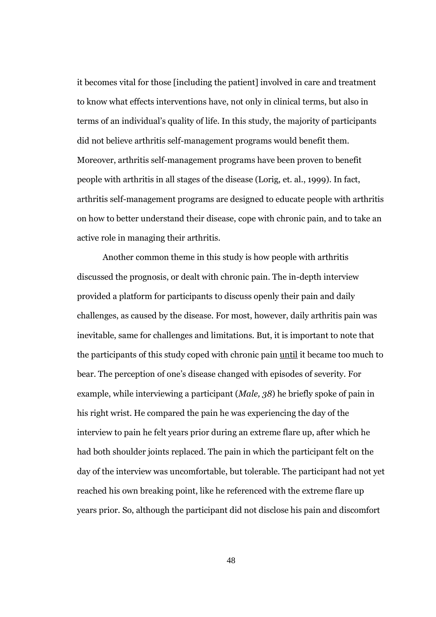it becomes vital for those [including the patient] involved in care and treatment to know what effects interventions have, not only in clinical terms, but also in terms of an individual's quality of life. In this study, the majority of participants did not believe arthritis self-management programs would benefit them. Moreover, arthritis self-management programs have been proven to benefit people with arthritis in all stages of the disease (Lorig, et. al., 1999). In fact, arthritis self-management programs are designed to educate people with arthritis on how to better understand their disease, cope with chronic pain, and to take an active role in managing their arthritis.

Another common theme in this study is how people with arthritis discussed the prognosis, or dealt with chronic pain. The in-depth interview provided a platform for participants to discuss openly their pain and daily challenges, as caused by the disease. For most, however, daily arthritis pain was inevitable, same for challenges and limitations. But, it is important to note that the participants of this study coped with chronic pain until it became too much to bear. The perception of one's disease changed with episodes of severity. For example, while interviewing a participant (*Male, 38*) he briefly spoke of pain in his right wrist. He compared the pain he was experiencing the day of the interview to pain he felt years prior during an extreme flare up, after which he had both shoulder joints replaced. The pain in which the participant felt on the day of the interview was uncomfortable, but tolerable. The participant had not yet reached his own breaking point, like he referenced with the extreme flare up years prior. So, although the participant did not disclose his pain and discomfort

48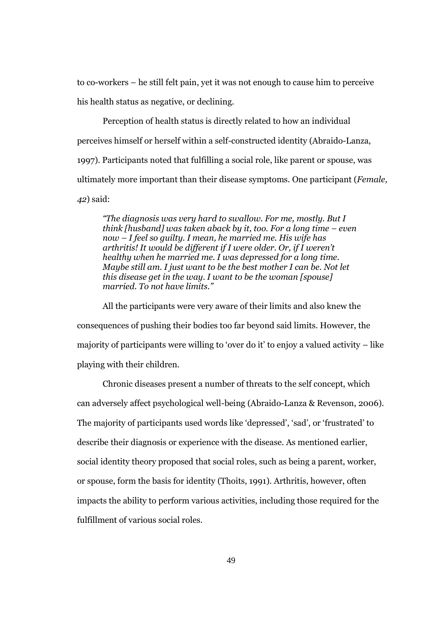to co-workers – he still felt pain, yet it was not enough to cause him to perceive his health status as negative, or declining.

Perception of health status is directly related to how an individual perceives himself or herself within a self-constructed identity (Abraido-Lanza, 1997). Participants noted that fulfilling a social role, like parent or spouse, was ultimately more important than their disease symptoms. One participant (*Female, 42*) said:

*"The diagnosis was very hard to swallow. For me, mostly. But I think [husband] was taken aback by it, too. For a long time – even now – I feel so guilty. I mean, he married me. His wife has arthritis! It would be different if I were older. Or, if I weren't healthy when he married me. I was depressed for a long time. Maybe still am. I just want to be the best mother I can be. Not let this disease get in the way. I want to be the woman [spouse] married. To not have limits."*

All the participants were very aware of their limits and also knew the consequences of pushing their bodies too far beyond said limits. However, the majority of participants were willing to 'over do it' to enjoy a valued activity – like playing with their children.

Chronic diseases present a number of threats to the self concept, which can adversely affect psychological well-being (Abraido-Lanza & Revenson, 2006). The majority of participants used words like 'depressed', 'sad', or 'frustrated' to describe their diagnosis or experience with the disease. As mentioned earlier, social identity theory proposed that social roles, such as being a parent, worker, or spouse, form the basis for identity (Thoits, 1991). Arthritis, however, often impacts the ability to perform various activities, including those required for the fulfillment of various social roles.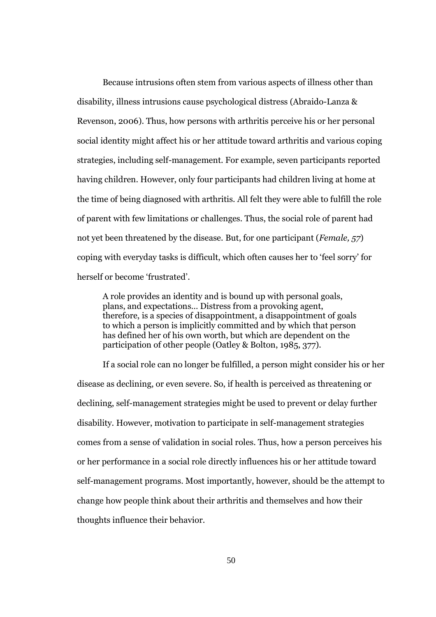Because intrusions often stem from various aspects of illness other than disability, illness intrusions cause psychological distress (Abraido-Lanza & Revenson, 2006). Thus, how persons with arthritis perceive his or her personal social identity might affect his or her attitude toward arthritis and various coping strategies, including self-management. For example, seven participants reported having children. However, only four participants had children living at home at the time of being diagnosed with arthritis. All felt they were able to fulfill the role of parent with few limitations or challenges. Thus, the social role of parent had not yet been threatened by the disease. But, for one participant (*Female, 57*) coping with everyday tasks is difficult, which often causes her to 'feel sorry' for herself or become 'frustrated'.

A role provides an identity and is bound up with personal goals, plans, and expectations… Distress from a provoking agent, therefore, is a species of disappointment, a disappointment of goals to which a person is implicitly committed and by which that person has defined her of his own worth, but which are dependent on the participation of other people (Oatley & Bolton, 1985, 377).

If a social role can no longer be fulfilled, a person might consider his or her disease as declining, or even severe. So, if health is perceived as threatening or declining, self-management strategies might be used to prevent or delay further disability. However, motivation to participate in self-management strategies comes from a sense of validation in social roles. Thus, how a person perceives his or her performance in a social role directly influences his or her attitude toward self-management programs. Most importantly, however, should be the attempt to change how people think about their arthritis and themselves and how their thoughts influence their behavior.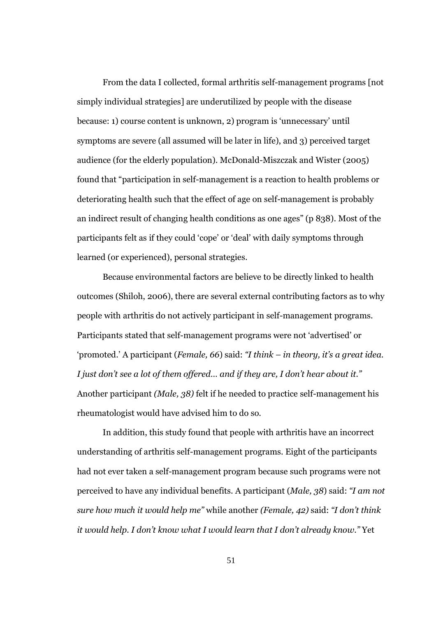From the data I collected, formal arthritis self-management programs [not simply individual strategies] are underutilized by people with the disease because: 1) course content is unknown, 2) program is 'unnecessary' until symptoms are severe (all assumed will be later in life), and 3) perceived target audience (for the elderly population). McDonald-Miszczak and Wister (2005) found that "participation in self-management is a reaction to health problems or deteriorating health such that the effect of age on self-management is probably an indirect result of changing health conditions as one ages" (p 838). Most of the participants felt as if they could 'cope' or 'deal' with daily symptoms through learned (or experienced), personal strategies.

Because environmental factors are believe to be directly linked to health outcomes (Shiloh, 2006), there are several external contributing factors as to why people with arthritis do not actively participant in self-management programs. Participants stated that self-management programs were not 'advertised' or 'promoted.' A participant (*Female, 66*) said: *"I think – in theory, it's a great idea. I just don't see a lot of them offered… and if they are, I don't hear about it."* Another participant *(Male, 38)* felt if he needed to practice self-management his rheumatologist would have advised him to do so.

In addition, this study found that people with arthritis have an incorrect understanding of arthritis self-management programs. Eight of the participants had not ever taken a self-management program because such programs were not perceived to have any individual benefits. A participant (*Male, 38*) said: *"I am not sure how much it would help me"* while another *(Female, 42)* said: *"I don't think it would help. I don't know what I would learn that I don't already know."* Yet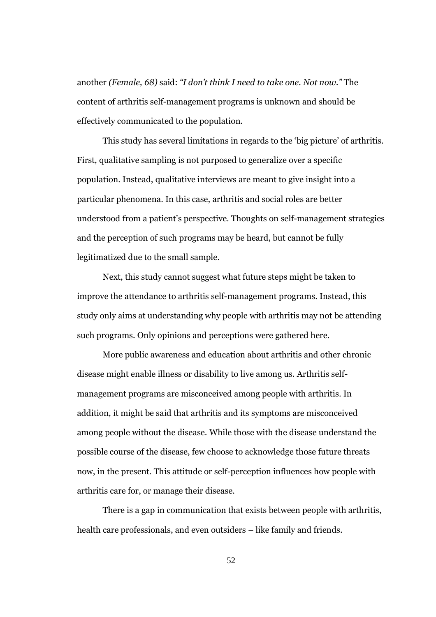another *(Female, 68)* said: *"I don't think I need to take one. Not now."* The content of arthritis self-management programs is unknown and should be effectively communicated to the population.

This study has several limitations in regards to the 'big picture' of arthritis. First, qualitative sampling is not purposed to generalize over a specific population. Instead, qualitative interviews are meant to give insight into a particular phenomena. In this case, arthritis and social roles are better understood from a patient's perspective. Thoughts on self-management strategies and the perception of such programs may be heard, but cannot be fully legitimatized due to the small sample.

Next, this study cannot suggest what future steps might be taken to improve the attendance to arthritis self-management programs. Instead, this study only aims at understanding why people with arthritis may not be attending such programs. Only opinions and perceptions were gathered here.

More public awareness and education about arthritis and other chronic disease might enable illness or disability to live among us. Arthritis selfmanagement programs are misconceived among people with arthritis. In addition, it might be said that arthritis and its symptoms are misconceived among people without the disease. While those with the disease understand the possible course of the disease, few choose to acknowledge those future threats now, in the present. This attitude or self-perception influences how people with arthritis care for, or manage their disease.

There is a gap in communication that exists between people with arthritis, health care professionals, and even outsiders – like family and friends.

52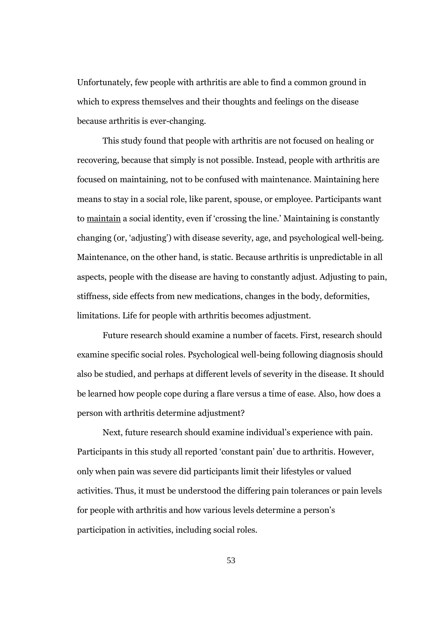Unfortunately, few people with arthritis are able to find a common ground in which to express themselves and their thoughts and feelings on the disease because arthritis is ever-changing.

This study found that people with arthritis are not focused on healing or recovering, because that simply is not possible. Instead, people with arthritis are focused on maintaining, not to be confused with maintenance. Maintaining here means to stay in a social role, like parent, spouse, or employee. Participants want to maintain a social identity, even if 'crossing the line.' Maintaining is constantly changing (or, 'adjusting') with disease severity, age, and psychological well-being. Maintenance, on the other hand, is static. Because arthritis is unpredictable in all aspects, people with the disease are having to constantly adjust. Adjusting to pain, stiffness, side effects from new medications, changes in the body, deformities, limitations. Life for people with arthritis becomes adjustment.

Future research should examine a number of facets. First, research should examine specific social roles. Psychological well-being following diagnosis should also be studied, and perhaps at different levels of severity in the disease. It should be learned how people cope during a flare versus a time of ease. Also, how does a person with arthritis determine adjustment?

Next, future research should examine individual's experience with pain. Participants in this study all reported 'constant pain' due to arthritis. However, only when pain was severe did participants limit their lifestyles or valued activities. Thus, it must be understood the differing pain tolerances or pain levels for people with arthritis and how various levels determine a person's participation in activities, including social roles.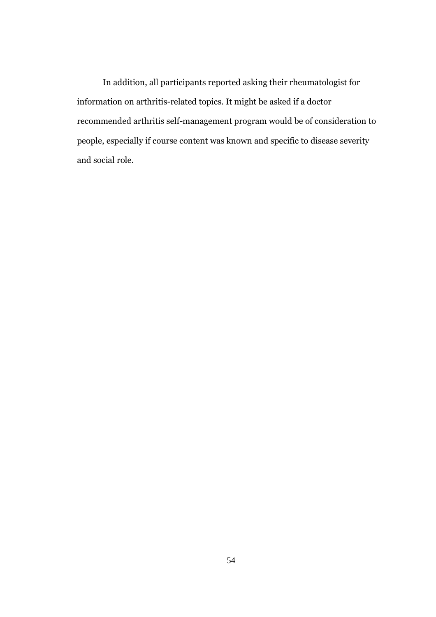In addition, all participants reported asking their rheumatologist for information on arthritis-related topics. It might be asked if a doctor recommended arthritis self-management program would be of consideration to people, especially if course content was known and specific to disease severity and social role.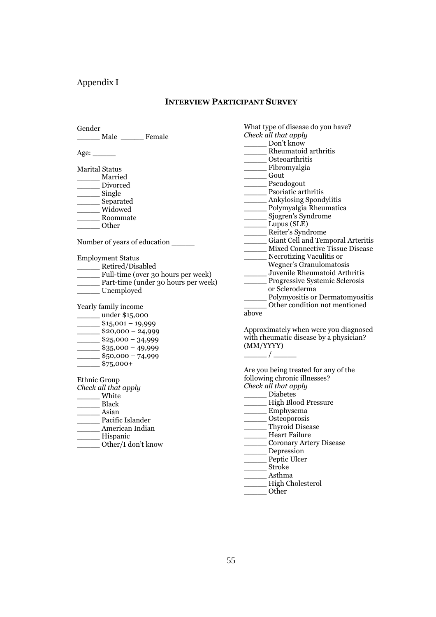# Appendix I

# **INTERVIEW PARTICIPANT SURVEY**

| Gender                   |                                               |                                        | What type of disease do you have?                     |  |  |
|--------------------------|-----------------------------------------------|----------------------------------------|-------------------------------------------------------|--|--|
|                          | Male _________ Female                         |                                        | Check all that apply                                  |  |  |
|                          |                                               |                                        | Don't know                                            |  |  |
| Age: ______              |                                               |                                        | _________ Rheumatoid arthritis                        |  |  |
|                          |                                               |                                        | ______ Osteoarthritis                                 |  |  |
| <b>Marital Status</b>    |                                               |                                        |                                                       |  |  |
| Married                  |                                               |                                        | Gout                                                  |  |  |
|                          | __ Divorced                                   |                                        | _______ Pseudogout                                    |  |  |
| __ Single                |                                               |                                        | Psoriatic arthritis                                   |  |  |
|                          |                                               |                                        | _______ Ankylosing Spondylitis                        |  |  |
| ________ Separated       | __ Widowed                                    |                                        | ______ Polymyalgia Rheumatica                         |  |  |
|                          |                                               |                                        | Sjogren's Syndrome                                    |  |  |
| Roommate                 |                                               |                                        | Lupus (SLE)                                           |  |  |
|                          | Other                                         |                                        | _____ Reiter's Syndrome                               |  |  |
|                          |                                               |                                        | ________ Giant Cell and Temporal Arteritis            |  |  |
|                          |                                               | Number of years of education           | Mixed Connective Tissue Disease                       |  |  |
|                          |                                               |                                        |                                                       |  |  |
| <b>Employment Status</b> |                                               |                                        | Necrotizing Vaculitis or                              |  |  |
|                          | _____ Retired/Disabled                        |                                        | Wegner's Granulomatosis                               |  |  |
|                          |                                               | Full-time (over 30 hours per week)     | Juvenile Rheumatoid Arthritis                         |  |  |
|                          |                                               | __ Part-time (under 30 hours per week) | Progressive Systemic Sclerosis                        |  |  |
|                          | Unemployed                                    |                                        | or Scleroderma                                        |  |  |
|                          |                                               |                                        | ________ Polymyositis or Dermatomyositis              |  |  |
|                          | Yearly family income                          |                                        | Other condition not mentioned                         |  |  |
|                          | _______ under \$15,000                        |                                        | above                                                 |  |  |
|                          | $\frac{\$15,001-19,999}{}$                    |                                        |                                                       |  |  |
|                          | $\frac{\ }{20,000} - 24,999$                  |                                        | Approximately when were you diagnosed                 |  |  |
|                          | $\frac{\text{I}}{\text{I}}$ \$25,000 - 34,999 |                                        | with rheumatic disease by a physician?                |  |  |
|                          | $\frac{\ }{2}$ \$35,000 - 49,999              |                                        | (MM/YYYY)                                             |  |  |
|                          | $\frac{\$50,000 - 74,999}{}$                  |                                        | $\frac{\phantom{aaaa}}{\phantom{aaaa}}\phantom{aaaa}$ |  |  |
|                          | $$75,000+$                                    |                                        |                                                       |  |  |
|                          |                                               |                                        | Are you being treated for any of the                  |  |  |
| <b>Ethnic Group</b>      |                                               |                                        | following chronic illnesses?                          |  |  |
| Check all that apply     |                                               |                                        | Check all that apply                                  |  |  |
| White                    |                                               |                                        | Diabetes                                              |  |  |
|                          | <b>Black</b>                                  |                                        | _____ High Blood Pressure                             |  |  |
|                          | Asian                                         |                                        | Emphysema                                             |  |  |
|                          | Pacific Islander                              |                                        | _____ Osteoporosis                                    |  |  |
|                          | American Indian                               |                                        | ______ Thyroid Disease                                |  |  |
| Hispanic                 |                                               |                                        | Heart Failure                                         |  |  |
|                          | Other/I don't know                            |                                        | Coronary Artery Disease                               |  |  |
|                          |                                               |                                        | Depression                                            |  |  |
|                          |                                               |                                        | Peptic Ulcer                                          |  |  |
|                          |                                               |                                        | ______ Stroke                                         |  |  |
|                          |                                               |                                        | Asthma                                                |  |  |
|                          |                                               |                                        | High Cholesterol                                      |  |  |
|                          |                                               |                                        | $_$ Other                                             |  |  |
|                          |                                               |                                        |                                                       |  |  |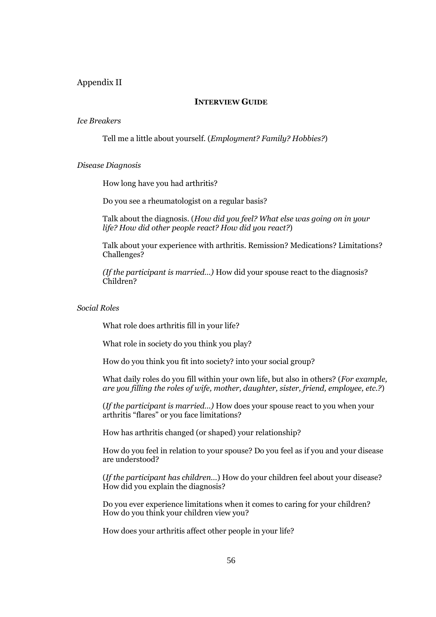## Appendix II

### **INTERVIEW GUIDE**

#### *Ice Breakers*

Tell me a little about yourself. (*Employment? Family? Hobbies?*)

#### *Disease Diagnosis*

How long have you had arthritis?

Do you see a rheumatologist on a regular basis?

Talk about the diagnosis. (*How did you feel? What else was going on in your life? How did other people react? How did you react?*)

Talk about your experience with arthritis. Remission? Medications? Limitations? Challenges?

*(If the participant is married…)* How did your spouse react to the diagnosis? Children?

*Social Roles*

What role does arthritis fill in your life?

What role in society do you think you play?

How do you think you fit into society? into your social group?

What daily roles do you fill within your own life, but also in others? (*For example, are you filling the roles of wife, mother, daughter, sister, friend, employee, etc.?*)

(*If the participant is married…)* How does your spouse react to you when your arthritis "flares" or you face limitations?

How has arthritis changed (or shaped) your relationship?

How do you feel in relation to your spouse? Do you feel as if you and your disease are understood?

(*If the participant has children…*) How do your children feel about your disease? How did you explain the diagnosis?

Do you ever experience limitations when it comes to caring for your children? How do you think your children view you?

How does your arthritis affect other people in your life?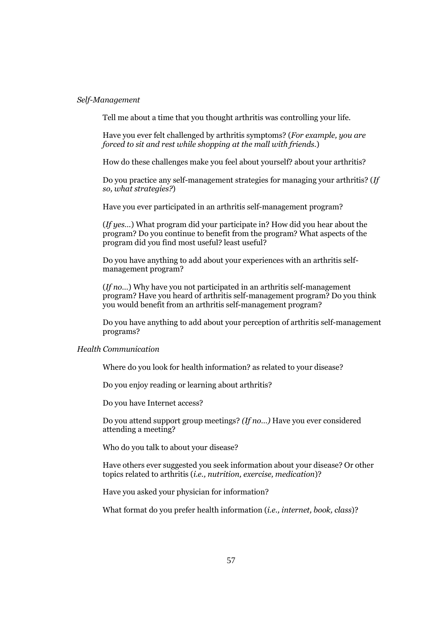#### *Self-Management*

Tell me about a time that you thought arthritis was controlling your life.

Have you ever felt challenged by arthritis symptoms? (*For example, you are forced to sit and rest while shopping at the mall with friends.*)

How do these challenges make you feel about yourself? about your arthritis?

Do you practice any self-management strategies for managing your arthritis? (*If so, what strategies?*)

Have you ever participated in an arthritis self-management program?

(*If yes…*) What program did your participate in? How did you hear about the program? Do you continue to benefit from the program? What aspects of the program did you find most useful? least useful?

Do you have anything to add about your experiences with an arthritis selfmanagement program?

(*If no…*) Why have you not participated in an arthritis self-management program? Have you heard of arthritis self-management program? Do you think you would benefit from an arthritis self-management program?

Do you have anything to add about your perception of arthritis self-management programs?

#### *Health Communication*

Where do you look for health information? as related to your disease?

Do you enjoy reading or learning about arthritis?

Do you have Internet access?

Do you attend support group meetings? *(If no…)* Have you ever considered attending a meeting?

Who do you talk to about your disease?

Have others ever suggested you seek information about your disease? Or other topics related to arthritis (*i.e., nutrition, exercise, medication*)?

Have you asked your physician for information?

What format do you prefer health information (*i.e., internet, book, class*)?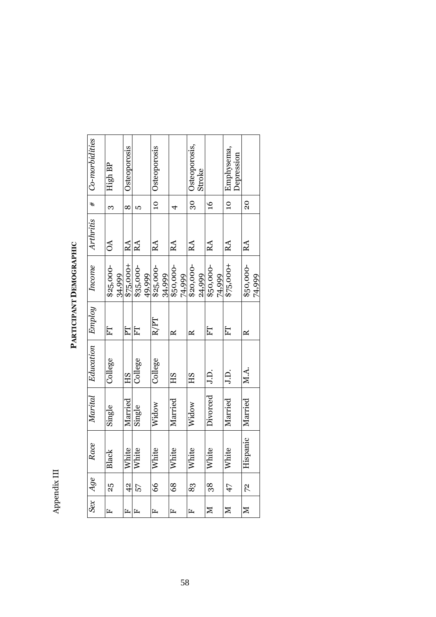Appendix III Appendix III

#### Co-morbidities *Sex Age Race Marital Education Employ Income Arthritis # Co-morbidities* Osteoporosis,<br>Stroke Emphysema,<br>Depression Osteoporosis Osteoporosis RA 30 Osteoporosis, F 42 White Married HS PT \$75,000+ RA 8 Osteoporosis RA 10 Steoporosis M 47 White Married J.D. **FT** \$75,000+ RA 10 Emphysema, High BP OA  $|$  3  $|$  High BP  $30<sub>o</sub>$  $#$  $\overline{10}$  $\overline{20}$  $\frac{6}{2}$  $\overline{a}$ RA 20 က  $\infty$ <u>က</u>  $\overline{4}$ RA 16  $RA$  4  $RA$  5 Arthritis **AO** RA  $RA$ RA RA RA  $RA$ RA RA 74,999  $$20,000-$ <br>24,999  $$50,000-$ <br>74,999 \$25,000-<br>34,999 \$35,000-<br>49,999 74,999  $475,000 +$  $$75,000+$  $$25,000-$ F 83 White HS HS R 820,000-Income F 25 Black Single College FT \$25,000- F 57 White Single College FT \$35,000-F 66 White Widow College R/PT \$25,000- F 68 White Married HS R R \$50,000-M 38 White Divorced J.D. FT \$50,000-M 72 Hispanic Married M.A. R | \$50,000-34,999 Employ  $R/PT$ FT  $F$ FT FT ET  $\approx$  $\approx$  $\approx$ Education College College College M.A. J.D. J.D. **EH SH SH** Marital Divorced Married Married Married Married Widow Widow single Single Hispanic Race White White White White White White White Black Age  $\frac{1}{4}$ 66 83  $25$ 68 38  $72$ 57  $47$  $Sex$  $\boxtimes$  $\boxtimes$  $\mathbb N$  $\overline{r}$  $\mathbf{r}$  $\mathbf{r}$  $\overline{L}$  $\mathbf{r}$ L.

PARTICIPANT DEMOGRAPHIC **PARTICIPANT DEMOGRAPHIC**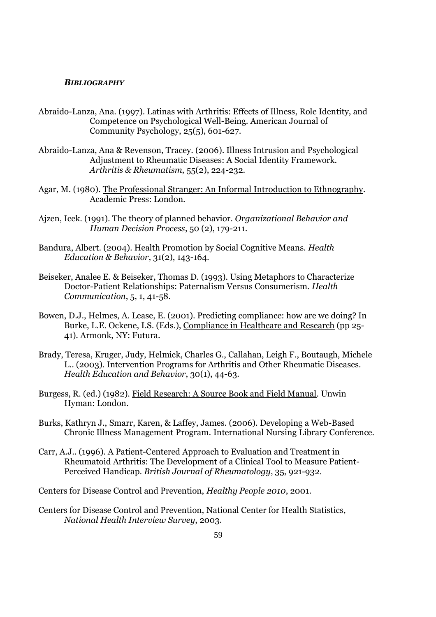#### *BIBLIOGRAPHY*

- Abraido-Lanza, Ana. (1997). Latinas with Arthritis: Effects of Illness, Role Identity, and Competence on Psychological Well-Being. American Journal of Community Psychology, 25(5), 601-627.
- Abraido-Lanza, Ana & Revenson, Tracey. (2006). Illness Intrusion and Psychological Adjustment to Rheumatic Diseases: A Social Identity Framework. *Arthritis & Rheumatism*, 55(2), 224-232.
- Agar, M. (1980). The Professional Stranger: An Informal Introduction to Ethnography. Academic Press: London.
- Ajzen, Icek. (1991). The theory of planned behavior. *Organizational Behavior and Human Decision Process*, 50 (2), 179-211.
- Bandura, Albert. (2004). Health Promotion by Social Cognitive Means. *Health Education & Behavior*, 31(2), 143-164.
- Beiseker, Analee E. & Beiseker, Thomas D. (1993). Using Metaphors to Characterize Doctor-Patient Relationships: Paternalism Versus Consumerism. *Health Communication*, 5, 1, 41-58.
- Bowen, D.J., Helmes, A. Lease, E. (2001). Predicting compliance: how are we doing? In Burke, L.E. Ockene, I.S. (Eds.), Compliance in Healthcare and Research (pp 25- 41). Armonk, NY: Futura.
- Brady, Teresa, Kruger, Judy, Helmick, Charles G., Callahan, Leigh F., Boutaugh, Michele L.. (2003). Intervention Programs for Arthritis and Other Rheumatic Diseases. *Health Education and Behavior*, 30(1), 44-63.
- Burgess, R. (ed.) (1982). Field Research: A Source Book and Field Manual. Unwin Hyman: London.
- Burks, Kathryn J., Smarr, Karen, & Laffey, James. (2006). Developing a Web-Based Chronic Illness Management Program. International Nursing Library Conference.
- Carr, A.J.. (1996). A Patient-Centered Approach to Evaluation and Treatment in Rheumatoid Arthritis: The Development of a Clinical Tool to Measure Patient-Perceived Handicap. *British Journal of Rheumatology*, 35, 921-932.

Centers for Disease Control and Prevention, *Healthy People 2010*, 2001.

Centers for Disease Control and Prevention, National Center for Health Statistics, *National Health Interview Survey*, 2003.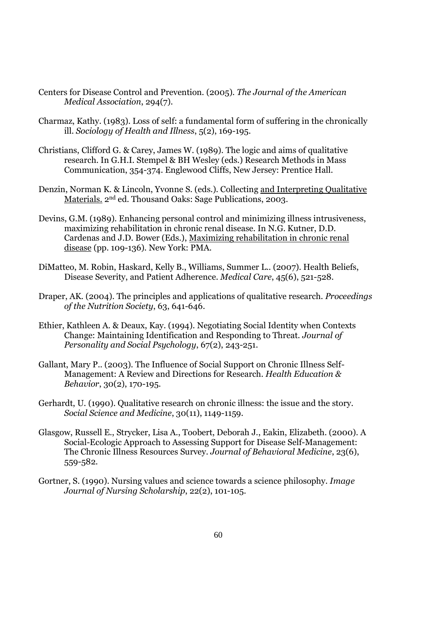- Centers for Disease Control and Prevention. (2005). *The Journal of the American Medical Association*, 294(7).
- Charmaz, Kathy. (1983). Loss of self: a fundamental form of suffering in the chronically ill. *Sociology of Health and Illness*, 5(2), 169-195.
- Christians, Clifford G. & Carey, James W. (1989). The logic and aims of qualitative research. In G.H.I. Stempel & BH Wesley (eds.) Research Methods in Mass Communication, 354-374. Englewood Cliffs, New Jersey: Prentice Hall.
- Denzin, Norman K. & Lincoln, Yvonne S. (eds.). Collecting and Interpreting Qualitative Materials. 2nd ed. Thousand Oaks: Sage Publications, 2003.
- Devins, G.M. (1989). Enhancing personal control and minimizing illness intrusiveness, maximizing rehabilitation in chronic renal disease. In N.G. Kutner, D.D. Cardenas and J.D. Bower (Eds.), Maximizing rehabilitation in chronic renal disease (pp. 109-136). New York: PMA.
- DiMatteo, M. Robin, Haskard, Kelly B., Williams, Summer L.. (2007). Health Beliefs, Disease Severity, and Patient Adherence. *Medical Care*, 45(6), 521-528.
- Draper, AK. (2004). The principles and applications of qualitative research. *Proceedings of the Nutrition Society*, 63, 641-646.
- Ethier, Kathleen A. & Deaux, Kay. (1994). Negotiating Social Identity when Contexts Change: Maintaining Identification and Responding to Threat. *Journal of Personality and Social Psychology*, 67(2), 243-251.
- Gallant, Mary P.. (2003). The Influence of Social Support on Chronic Illness Self-Management: A Review and Directions for Research. *Health Education & Behavior*, 30(2), 170-195.
- Gerhardt, U. (1990). Qualitative research on chronic illness: the issue and the story. *Social Science and Medicine*, 30(11), 1149-1159.
- Glasgow, Russell E., Strycker, Lisa A., Toobert, Deborah J., Eakin, Elizabeth. (2000). A Social-Ecologic Approach to Assessing Support for Disease Self-Management: The Chronic Illness Resources Survey. *Journal of Behavioral Medicine*, 23(6), 559-582.
- Gortner, S. (1990). Nursing values and science towards a science philosophy. *Image Journal of Nursing Scholarship*, 22(2), 101-105.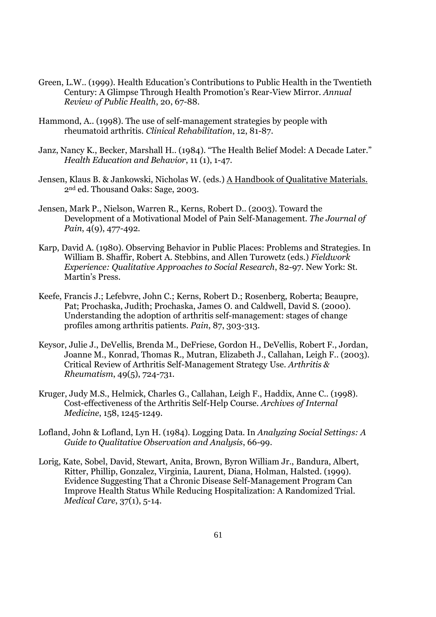- Green, L.W.. (1999). Health Education's Contributions to Public Health in the Twentieth Century: A Glimpse Through Health Promotion's Rear-View Mirror. *Annual Review of Public Health*, 20, 67-88.
- Hammond, A.. (1998). The use of self-management strategies by people with rheumatoid arthritis. *Clinical Rehabilitation*, 12, 81-87.
- Janz, Nancy K., Becker, Marshall H.. (1984). "The Health Belief Model: A Decade Later." *Health Education and Behavior*, 11 (1), 1-47.
- Jensen, Klaus B. & Jankowski, Nicholas W. (eds.) A Handbook of Qualitative Materials. 2nd ed. Thousand Oaks: Sage, 2003.
- Jensen, Mark P., Nielson, Warren R., Kerns, Robert D.. (2003). Toward the Development of a Motivational Model of Pain Self-Management. *The Journal of Pain*, 4(9), 477-492.
- Karp, David A. (1980). Observing Behavior in Public Places: Problems and Strategies. In William B. Shaffir, Robert A. Stebbins, and Allen Turowetz (eds.) *Fieldwork Experience: Qualitative Approaches to Social Research*, 82-97. New York: St. Martin's Press.
- Keefe, Francis J.; Lefebvre, John C.; Kerns, Robert D.; Rosenberg, Roberta; Beaupre, Pat: Prochaska, Judith; Prochaska, James O. and Caldwell, David S. (2000). Understanding the adoption of arthritis self-management: stages of change profiles among arthritis patients. *Pain*, 87, 303-313.
- Keysor, Julie J., DeVellis, Brenda M., DeFriese, Gordon H., DeVellis, Robert F., Jordan, Joanne M., Konrad, Thomas R., Mutran, Elizabeth J., Callahan, Leigh F.. (2003). Critical Review of Arthritis Self-Management Strategy Use. *Arthritis & Rheumatism*, 49(5), 724-731.
- Kruger, Judy M.S., Helmick, Charles G., Callahan, Leigh F., Haddix, Anne C.. (1998). Cost-effectiveness of the Arthritis Self-Help Course. *Archives of Internal Medicine*, 158, 1245-1249.
- Lofland, John & Lofland, Lyn H. (1984). Logging Data. In *Analyzing Social Settings: A Guide to Qualitative Observation and Analysis*, 66-99.
- Lorig, Kate, Sobel, David, Stewart, Anita, Brown, Byron William Jr., Bandura, Albert, Ritter, Phillip, Gonzalez, Virginia, Laurent, Diana, Holman, Halsted. (1999). Evidence Suggesting That a Chronic Disease Self-Management Program Can Improve Health Status While Reducing Hospitalization: A Randomized Trial. *Medical Care*, 37(1), 5-14.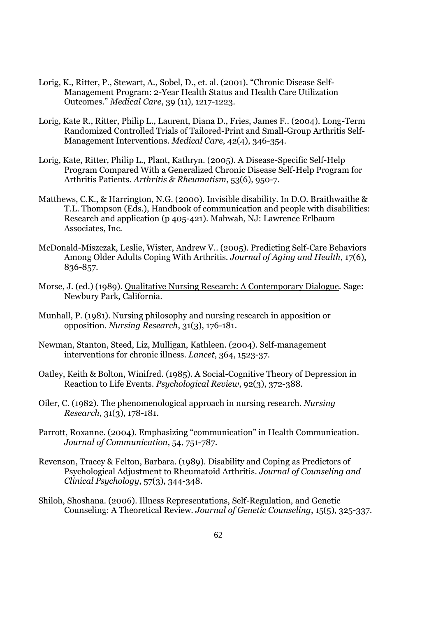- Lorig, K., Ritter, P., Stewart, A., Sobel, D., et. al. (2001). "Chronic Disease Self-Management Program: 2-Year Health Status and Health Care Utilization Outcomes." *Medical Care*, 39 (11), 1217-1223.
- Lorig, Kate R., Ritter, Philip L., Laurent, Diana D., Fries, James F.. (2004). Long-Term Randomized Controlled Trials of Tailored-Print and Small-Group Arthritis Self-Management Interventions. *Medical Care*, 42(4), 346-354.
- Lorig, Kate, Ritter, Philip L., Plant, Kathryn. (2005). A Disease-Specific Self-Help Program Compared With a Generalized Chronic Disease Self-Help Program for Arthritis Patients. *Arthritis & Rheumatism*, 53(6), 950-7.
- Matthews, C.K., & Harrington, N.G. (2000). Invisible disability. In D.O. Braithwaithe & T.L. Thompson (Eds.), Handbook of communication and people with disabilities: Research and application (p 405-421). Mahwah, NJ: Lawrence Erlbaum Associates, Inc.
- McDonald-Miszczak, Leslie, Wister, Andrew V.. (2005). Predicting Self-Care Behaviors Among Older Adults Coping With Arthritis. *Journal of Aging and Health*, 17(6), 836-857.
- Morse, J. (ed.) (1989). Qualitative Nursing Research: A Contemporary Dialogue. Sage: Newbury Park, California.
- Munhall, P. (1981). Nursing philosophy and nursing research in apposition or opposition. *Nursing Research*, 31(3), 176-181.
- Newman, Stanton, Steed, Liz, Mulligan, Kathleen. (2004). Self-management interventions for chronic illness. *Lancet*, 364, 1523-37.
- Oatley, Keith & Bolton, Winifred. (1985). A Social-Cognitive Theory of Depression in Reaction to Life Events. *Psychological Review*, 92(3), 372-388.
- Oiler, C. (1982). The phenomenological approach in nursing research. *Nursing Research*, 31(3), 178-181.
- Parrott, Roxanne. (2004). Emphasizing "communication" in Health Communication. *Journal of Communication*, 54, 751-787.
- Revenson, Tracey & Felton, Barbara. (1989). Disability and Coping as Predictors of Psychological Adjustment to Rheumatoid Arthritis. *Journal of Counseling and Clinical Psychology*, 57(3), 344-348.
- Shiloh, Shoshana. (2006). Illness Representations, Self-Regulation, and Genetic Counseling: A Theoretical Review. *Journal of Genetic Counseling*, 15(5), 325-337.